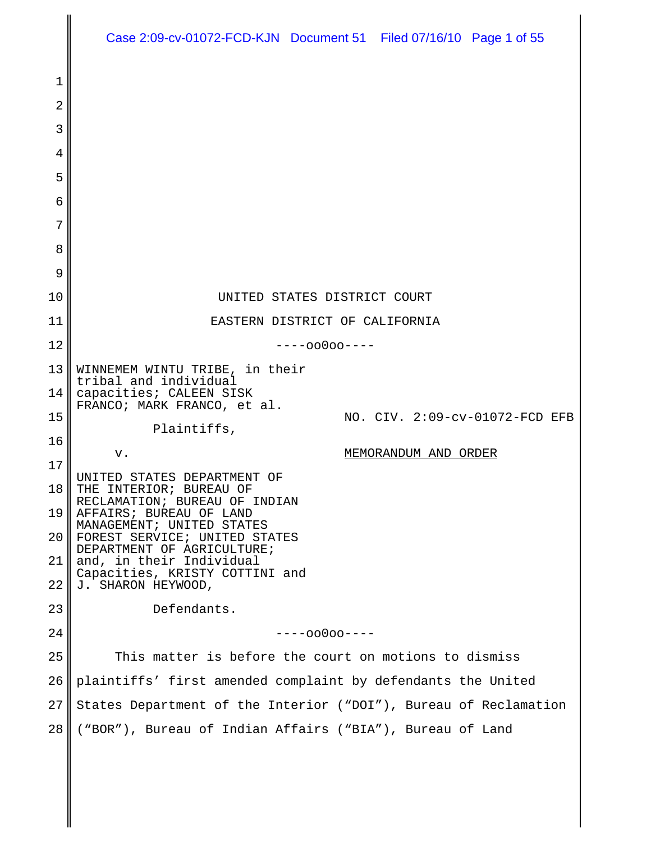|    | Case 2:09-cv-01072-FCD-KJN Document 51 Filed 07/16/10 Page 1 of 55 |
|----|--------------------------------------------------------------------|
| 1  |                                                                    |
| 2  |                                                                    |
| 3  |                                                                    |
| 4  |                                                                    |
| 5  |                                                                    |
| 6  |                                                                    |
| 7  |                                                                    |
| 8  |                                                                    |
| 9  |                                                                    |
| 10 | UNITED STATES DISTRICT COURT                                       |
| 11 | EASTERN DISTRICT OF CALIFORNIA                                     |
| 12 | $---00000---$                                                      |
| 13 | WINNEMEM WINTU TRIBE, in their                                     |
| 14 | tribal and individual<br>capacities; CALEEN SISK                   |
| 15 | FRANCO; MARK FRANCO, et al.<br>NO. CIV. 2:09-cv-01072-FCD EFB      |
| 16 | Plaintiffs,                                                        |
| 17 | MEMORANDUM AND ORDER<br>v.                                         |
| 18 | UNITED STATES DEPARTMENT OF<br>THE INTERIOR; BUREAU OF             |
| 19 | RECLAMATION; BUREAU OF INDIAN<br>AFFAIRS; BUREAU OF LAND           |
| 20 | MANAGEMENT; UNITED STATES<br>FOREST SERVICE; UNITED STATES         |
| 21 | DEPARTMENT OF AGRICULTURE;<br>and, in their Individual             |
| 22 | Capacities, KRISTY COTTINI and<br>J. SHARON HEYWOOD,               |
| 23 | Defendants.                                                        |
| 24 | $---00000---$                                                      |
| 25 | This matter is before the court on motions to dismiss              |
| 26 | plaintiffs' first amended complaint by defendants the United       |
| 27 | States Department of the Interior ("DOI"), Bureau of Reclamation   |
| 28 | ("BOR"), Bureau of Indian Affairs ("BIA"), Bureau of Land          |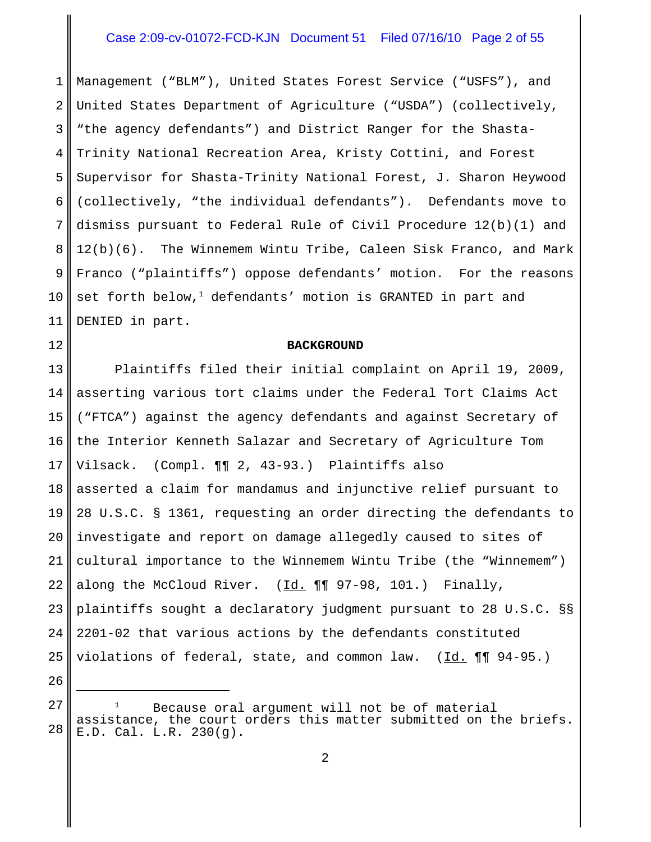# Case 2:09-cv-01072-FCD-KJN Document 51 Filed 07/16/10 Page 2 of 55

1 2 3 4 5 6 7 8 9 10 11 Management ("BLM"), United States Forest Service ("USFS"), and United States Department of Agriculture ("USDA") (collectively, "the agency defendants") and District Ranger for the Shasta-Trinity National Recreation Area, Kristy Cottini, and Forest Supervisor for Shasta-Trinity National Forest, J. Sharon Heywood (collectively, "the individual defendants"). Defendants move to dismiss pursuant to Federal Rule of Civil Procedure 12(b)(1) and 12(b)(6). The Winnemem Wintu Tribe, Caleen Sisk Franco, and Mark Franco ("plaintiffs") oppose defendants' motion. For the reasons  $\mathsf{set}$  forth  $\mathsf{below}$ , $^1$  defendants' motion is GRANTED in part and DENIED in part.

#### **BACKGROUND**

12

26

13 14 15 16 17 18 19 20 21 22 23 24 25 Plaintiffs filed their initial complaint on April 19, 2009, asserting various tort claims under the Federal Tort Claims Act ("FTCA") against the agency defendants and against Secretary of the Interior Kenneth Salazar and Secretary of Agriculture Tom Vilsack. (Compl. ¶¶ 2, 43-93.) Plaintiffs also asserted a claim for mandamus and injunctive relief pursuant to 28 U.S.C. § 1361, requesting an order directing the defendants to investigate and report on damage allegedly caused to sites of cultural importance to the Winnemem Wintu Tribe (the "Winnemem") along the McCloud River. (Id. ¶¶ 97-98, 101.) Finally, plaintiffs sought a declaratory judgment pursuant to 28 U.S.C. §§ 2201-02 that various actions by the defendants constituted violations of federal, state, and common law.  $(\underline{Id.} \P \P \P \ 94-95.)$ 

<sup>27</sup> 28 Because oral argument will not be of material assistance, the court orders this matter submitted on the briefs. E.D. Cal. L.R. 230(g).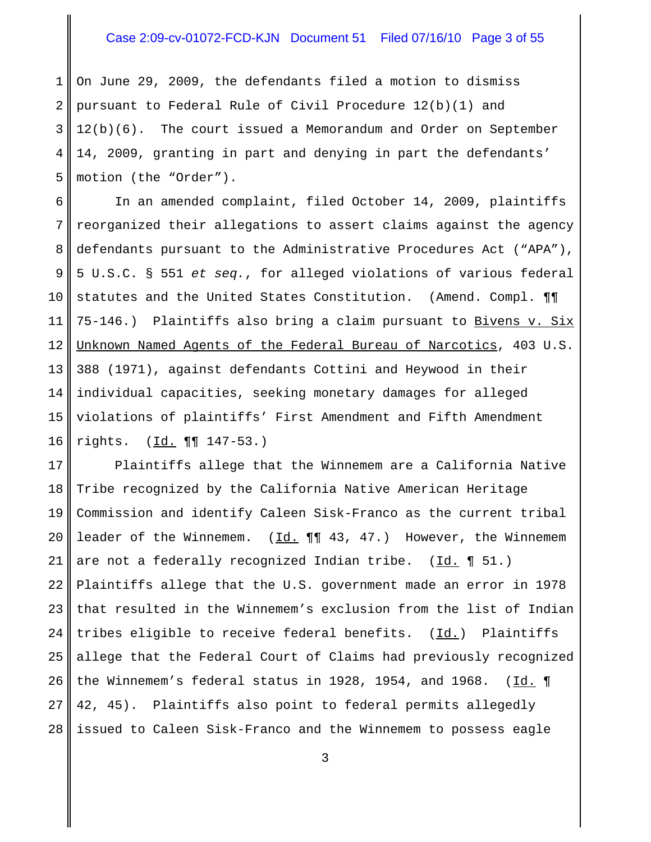# Case 2:09-cv-01072-FCD-KJN Document 51 Filed 07/16/10 Page 3 of 55

1 2 3 4 5 On June 29, 2009, the defendants filed a motion to dismiss pursuant to Federal Rule of Civil Procedure 12(b)(1) and 12(b)(6). The court issued a Memorandum and Order on September 14, 2009, granting in part and denying in part the defendants' motion (the "Order").

6 7 8 9 10 11 12 13 14 15 16 In an amended complaint, filed October 14, 2009, plaintiffs reorganized their allegations to assert claims against the agency defendants pursuant to the Administrative Procedures Act ("APA"), 5 U.S.C. § 551 *et seq.*, for alleged violations of various federal statutes and the United States Constitution. (Amend. Compl. ¶¶ 75-146.) Plaintiffs also bring a claim pursuant to Bivens v. Six Unknown Named Agents of the Federal Bureau of Narcotics, 403 U.S. 388 (1971), against defendants Cottini and Heywood in their individual capacities, seeking monetary damages for alleged violations of plaintiffs' First Amendment and Fifth Amendment rights. (Id. ¶¶ 147-53.)

17 18 19 20 21 22 23 24 25 26 27 28 Plaintiffs allege that the Winnemem are a California Native Tribe recognized by the California Native American Heritage Commission and identify Caleen Sisk-Franco as the current tribal leader of the Winnemem.  $(\underline{Id.} \P \P \ 43, 47.)$  However, the Winnemem are not a federally recognized Indian tribe. (Id. 151.) Plaintiffs allege that the U.S. government made an error in 1978 that resulted in the Winnemem's exclusion from the list of Indian tribes eligible to receive federal benefits. (Id.) Plaintiffs allege that the Federal Court of Claims had previously recognized the Winnemem's federal status in 1928, 1954, and 1968.  $(Id. \P)$ 42, 45). Plaintiffs also point to federal permits allegedly issued to Caleen Sisk-Franco and the Winnemem to possess eagle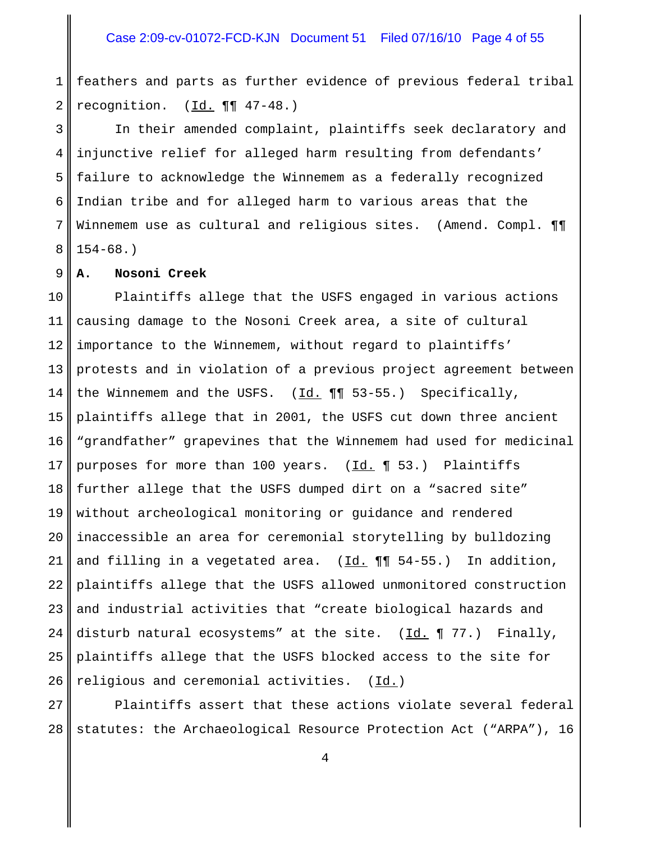1 2 feathers and parts as further evidence of previous federal tribal recognition. (Id. ¶¶ 47-48.)

3 4 5 6 7 8 In their amended complaint, plaintiffs seek declaratory and injunctive relief for alleged harm resulting from defendants' failure to acknowledge the Winnemem as a federally recognized Indian tribe and for alleged harm to various areas that the Winnemem use as cultural and religious sites. (Amend. Compl.  $\P\P$  $154-68.$ )

#### 9 **A. Nosoni Creek**

10 11 12 13 14 15 16 17 18 19 20 21 22 23 24 25 26 Plaintiffs allege that the USFS engaged in various actions causing damage to the Nosoni Creek area, a site of cultural importance to the Winnemem, without regard to plaintiffs' protests and in violation of a previous project agreement between the Winnemem and the USFS.  $(Id. \P \P \quad 53-55.)$  Specifically, plaintiffs allege that in 2001, the USFS cut down three ancient "grandfather" grapevines that the Winnemem had used for medicinal purposes for more than 100 years. (Id. 1 53.) Plaintiffs further allege that the USFS dumped dirt on a "sacred site" without archeological monitoring or guidance and rendered inaccessible an area for ceremonial storytelling by bulldozing and filling in a vegetated area.  $(Id. \P \P \negthinspace 54-55.)$  In addition, plaintiffs allege that the USFS allowed unmonitored construction and industrial activities that "create biological hazards and disturb natural ecosystems" at the site.  $(\underline{Id.} \P 77.)$  Finally, plaintiffs allege that the USFS blocked access to the site for religious and ceremonial activities. (Id.)

27 28 Plaintiffs assert that these actions violate several federal statutes: the Archaeological Resource Protection Act ("ARPA"), 16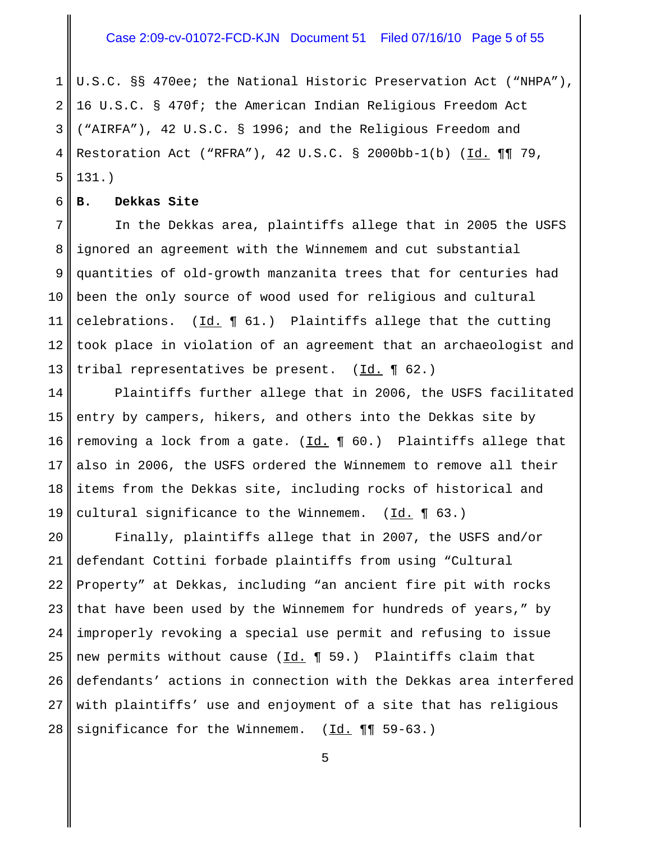#### Case 2:09-cv-01072-FCD-KJN Document 51 Filed 07/16/10 Page 5 of 55

1 2 3 4 5 U.S.C. §§ 470ee; the National Historic Preservation Act ("NHPA"), 16 U.S.C. § 470f; the American Indian Religious Freedom Act ("AIRFA"), 42 U.S.C. § 1996; and the Religious Freedom and Restoration Act ("RFRA"), 42 U.S.C. § 2000bb-1(b) ( $\underline{Id.}$  ¶¶ 79, 131.)

#### 6 **B. Dekkas Site**

7 8 9 10 11 12 13 In the Dekkas area, plaintiffs allege that in 2005 the USFS ignored an agreement with the Winnemem and cut substantial quantities of old-growth manzanita trees that for centuries had been the only source of wood used for religious and cultural celebrations.  $(\underline{Id.} \P 61.)$  Plaintiffs allege that the cutting took place in violation of an agreement that an archaeologist and tribal representatives be present.  $(\underline{Id.} \P 62.)$ 

14 15 16 17 18 19 Plaintiffs further allege that in 2006, the USFS facilitated entry by campers, hikers, and others into the Dekkas site by removing a lock from a gate.  $(\underline{Id.} \P 60.)$  Plaintiffs allege that also in 2006, the USFS ordered the Winnemem to remove all their items from the Dekkas site, including rocks of historical and cultural significance to the Winnemem.  $(\underline{Id.} \P 63.)$ 

20 21 22 23 24 25 26 27 28 Finally, plaintiffs allege that in 2007, the USFS and/or defendant Cottini forbade plaintiffs from using "Cultural Property" at Dekkas, including "an ancient fire pit with rocks that have been used by the Winnemem for hundreds of years," by improperly revoking a special use permit and refusing to issue new permits without cause ( $\underline{Id.} \P 59.$ ) Plaintiffs claim that defendants' actions in connection with the Dekkas area interfered with plaintiffs' use and enjoyment of a site that has religious significance for the Winnemem.  $(\underline{Id.} \P \P \negthinspace 59 - 63.)$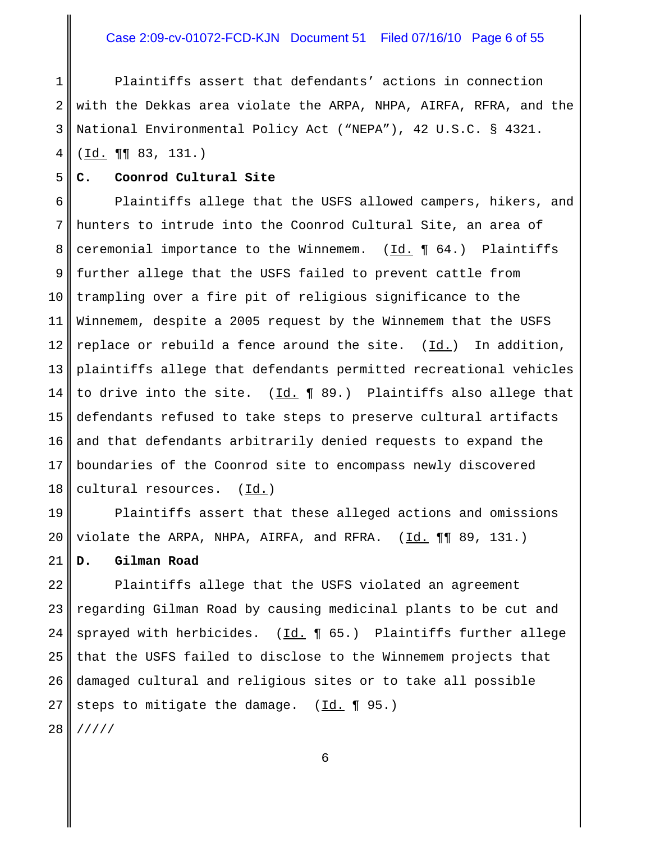# Case 2:09-cv-01072-FCD-KJN Document 51 Filed 07/16/10 Page 6 of 55

1 2 3 Plaintiffs assert that defendants' actions in connection with the Dekkas area violate the ARPA, NHPA, AIRFA, RFRA, and the National Environmental Policy Act ("NEPA"), 42 U.S.C. § 4321.

4 (Id. ¶¶ 83, 131.)

5

#### **C. Coonrod Cultural Site**

6 7 8 9 10 11 12 13 14 15 16 17 18 Plaintiffs allege that the USFS allowed campers, hikers, and hunters to intrude into the Coonrod Cultural Site, an area of ceremonial importance to the Winnemem.  $(\underline{Id.} \P 64.)$  Plaintiffs further allege that the USFS failed to prevent cattle from trampling over a fire pit of religious significance to the Winnemem, despite a 2005 request by the Winnemem that the USFS replace or rebuild a fence around the site.  $(\underline{Id.})$  In addition, plaintiffs allege that defendants permitted recreational vehicles to drive into the site.  $(\underline{Id.} \P 89.)$  Plaintiffs also allege that defendants refused to take steps to preserve cultural artifacts and that defendants arbitrarily denied requests to expand the boundaries of the Coonrod site to encompass newly discovered cultural resources. (Id.)

19 20 Plaintiffs assert that these alleged actions and omissions violate the ARPA, NHPA, AIRFA, and RFRA.  $(\underline{Id.} \P \P \P \ 89, 131.)$ 

21 **D. Gilman Road**

22 23 24 25 26 27 28 Plaintiffs allege that the USFS violated an agreement regarding Gilman Road by causing medicinal plants to be cut and sprayed with herbicides.  $(\underline{Id.} \P 65.)$  Plaintiffs further allege that the USFS failed to disclose to the Winnemem projects that damaged cultural and religious sites or to take all possible steps to mitigate the damage. (Id. ¶ 95.) /////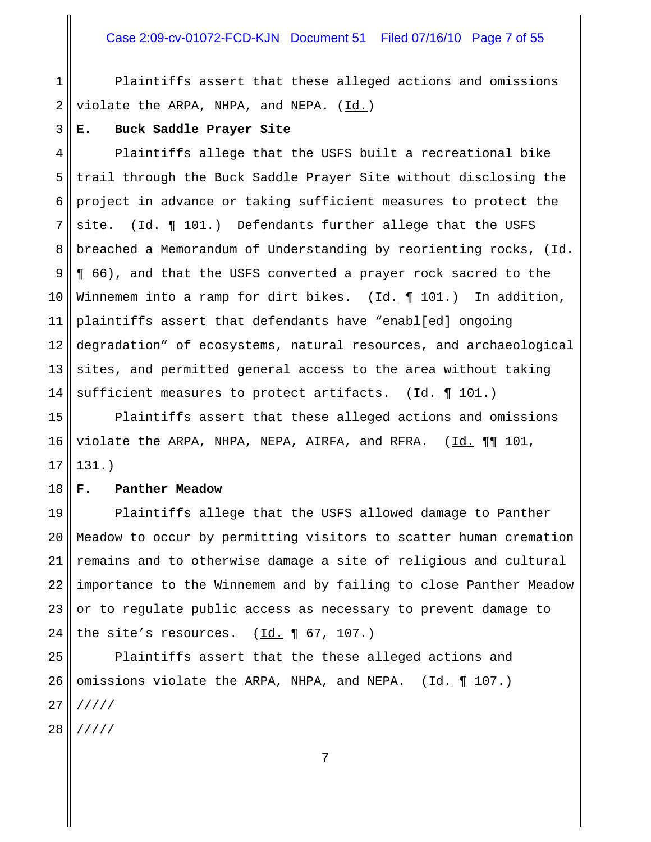### Case 2:09-cv-01072-FCD-KJN Document 51 Filed 07/16/10 Page 7 of 55

1 2 Plaintiffs assert that these alleged actions and omissions violate the ARPA, NHPA, and NEPA. (Id.)

#### **E. Buck Saddle Prayer Site**

3

4 5 6 7 8 9 10 11 12 13 14 Plaintiffs allege that the USFS built a recreational bike trail through the Buck Saddle Prayer Site without disclosing the project in advance or taking sufficient measures to protect the site.  $(\underline{Id.} \P 101.)$  Defendants further allege that the USFS breached a Memorandum of Understanding by reorienting rocks, (Id. ¶ 66), and that the USFS converted a prayer rock sacred to the Winnemem into a ramp for dirt bikes.  $(\underline{Id.} \P 101.)$  In addition, plaintiffs assert that defendants have "enabl[ed] ongoing degradation" of ecosystems, natural resources, and archaeological sites, and permitted general access to the area without taking sufficient measures to protect artifacts.  $(\underline{Id.} \P 101.)$ 

15 16 17 Plaintiffs assert that these alleged actions and omissions violate the ARPA, NHPA, NEPA, AIRFA, and RFRA. (Id. ¶¶ 101, 131.)

#### 18 **F. Panther Meadow**

19 20 21 22 23 24 Plaintiffs allege that the USFS allowed damage to Panther Meadow to occur by permitting visitors to scatter human cremation remains and to otherwise damage a site of religious and cultural importance to the Winnemem and by failing to close Panther Meadow or to regulate public access as necessary to prevent damage to the site's resources.  $(\underline{Id.} \P 67, 107.)$ 

25 26 27 28 Plaintiffs assert that the these alleged actions and omissions violate the ARPA, NHPA, and NEPA. (Id. ¶ 107.) ///// /////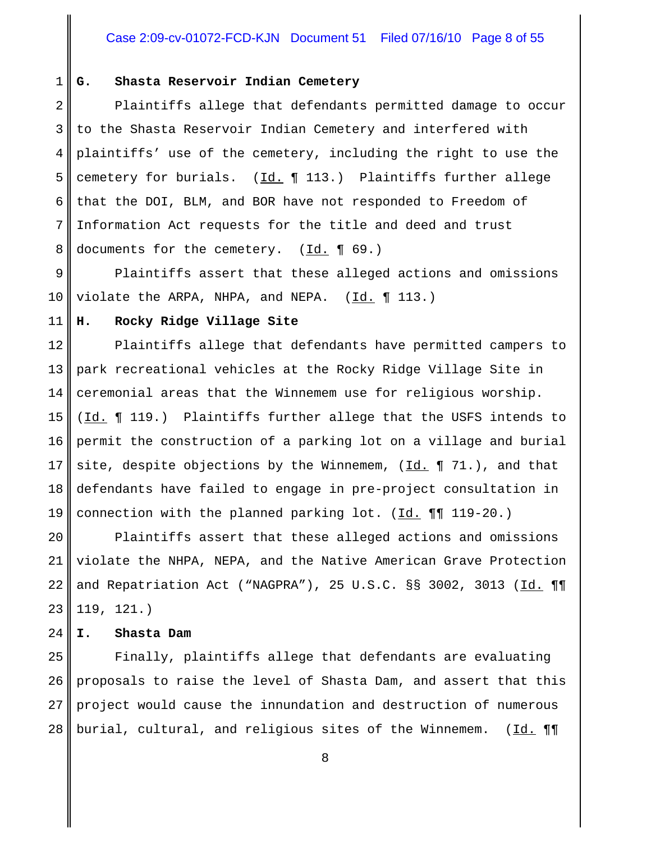### Case 2:09-cv-01072-FCD-KJN Document 51 Filed 07/16/10 Page 8 of 55

#### 1 **G. Shasta Reservoir Indian Cemetery**

2 3 4 5 6 7 8 Plaintiffs allege that defendants permitted damage to occur to the Shasta Reservoir Indian Cemetery and interfered with plaintiffs' use of the cemetery, including the right to use the cemetery for burials.  $(\underline{Id.} \P 113.)$  Plaintiffs further allege that the DOI, BLM, and BOR have not responded to Freedom of Information Act requests for the title and deed and trust documents for the cemetery.  $(\underline{Id.} \P 69.)$ 

9 10 Plaintiffs assert that these alleged actions and omissions violate the ARPA, NHPA, and NEPA.  $(\underline{Id.} \P 113.)$ 

#### 11 **H. Rocky Ridge Village Site**

12 13 14 15 16 17 18 19 Plaintiffs allege that defendants have permitted campers to park recreational vehicles at the Rocky Ridge Village Site in ceremonial areas that the Winnemem use for religious worship. (Id. ¶ 119.) Plaintiffs further allege that the USFS intends to permit the construction of a parking lot on a village and burial site, despite objections by the Winnemem,  $(\underline{Id.} \P 71.)$ , and that defendants have failed to engage in pre-project consultation in connection with the planned parking lot. (Id. ¶¶ 119-20.)

20 21 22 23 Plaintiffs assert that these alleged actions and omissions violate the NHPA, NEPA, and the Native American Grave Protection and Repatriation Act ("NAGPRA"), 25 U.S.C.  $\S$ § 3002, 3013 (Id. ¶¶ 119, 121.)

#### 24 **I. Shasta Dam**

25 26 27 28 Finally, plaintiffs allege that defendants are evaluating proposals to raise the level of Shasta Dam, and assert that this project would cause the innundation and destruction of numerous burial, cultural, and religious sites of the Winnemem. (Id. ¶¶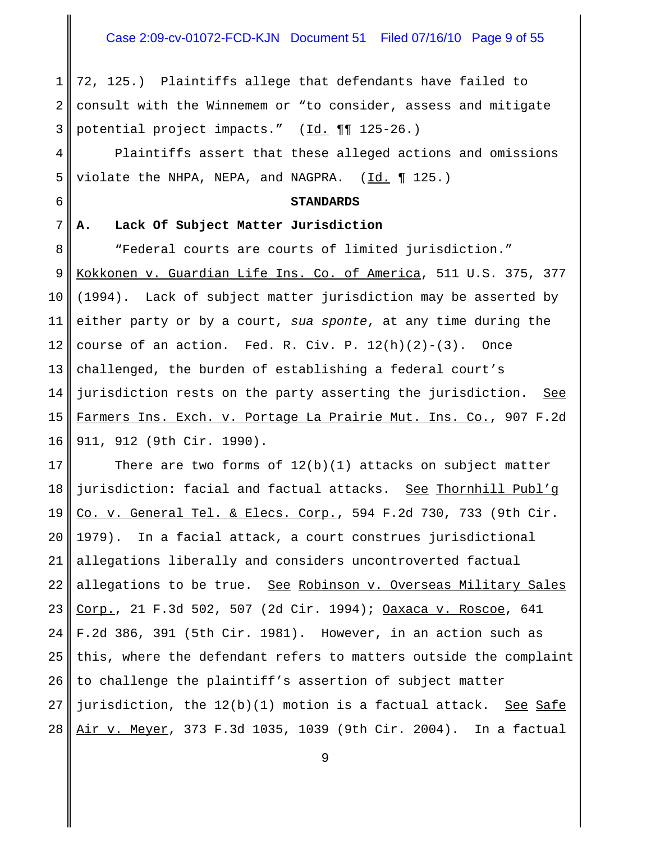#### Case 2:09-cv-01072-FCD-KJN Document 51 Filed 07/16/10 Page 9 of 55

1 2 3 72, 125.) Plaintiffs allege that defendants have failed to consult with the Winnemem or "to consider, assess and mitigate potential project impacts." (Id. ¶¶ 125-26.)

4 5 Plaintiffs assert that these alleged actions and omissions violate the NHPA, NEPA, and NAGPRA.  $(\underline{Id.} \P 125.)$ 

#### **STANDARDS**

#### **A. Lack Of Subject Matter Jurisdiction**

6

7

8 9 10 11 12 13 14 15 16 "Federal courts are courts of limited jurisdiction." Kokkonen v. Guardian Life Ins. Co. of America, 511 U.S. 375, 377 (1994). Lack of subject matter jurisdiction may be asserted by either party or by a court, *sua sponte*, at any time during the course of an action. Fed. R. Civ. P.  $12(h)(2)-(3)$ . Once challenged, the burden of establishing a federal court's jurisdiction rests on the party asserting the jurisdiction. See Farmers Ins. Exch. v. Portage La Prairie Mut. Ins. Co., 907 F.2d 911, 912 (9th Cir. 1990).

17 18 19 20 21 22 23 24 25 26 27 28 There are two forms of  $12(b)(1)$  attacks on subject matter jurisdiction: facial and factual attacks. See Thornhill Publ'g Co. v. General Tel. & Elecs. Corp., 594 F.2d 730, 733 (9th Cir. 1979). In a facial attack, a court construes jurisdictional allegations liberally and considers uncontroverted factual allegations to be true. See Robinson v. Overseas Military Sales Corp., 21 F.3d 502, 507 (2d Cir. 1994); Oaxaca v. Roscoe, 641 F.2d 386, 391 (5th Cir. 1981). However, in an action such as this, where the defendant refers to matters outside the complaint to challenge the plaintiff's assertion of subject matter jurisdiction, the 12(b)(1) motion is a factual attack.See Safe Air v. Meyer, 373 F.3d 1035, 1039 (9th Cir. 2004). In a factual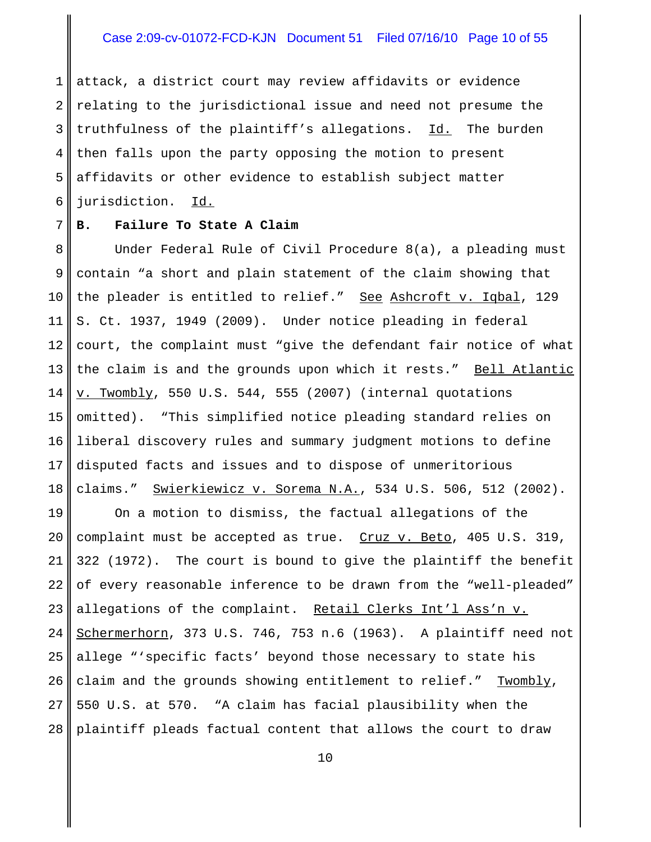#### Case 2:09-cv-01072-FCD-KJN Document 51 Filed 07/16/10 Page 10 of 55

1 2 3 4 5 6 attack, a district court may review affidavits or evidence relating to the jurisdictional issue and need not presume the truthfulness of the plaintiff's allegations. Id. The burden then falls upon the party opposing the motion to present affidavits or other evidence to establish subject matter jurisdiction. Id.

#### 7 **B. Failure To State A Claim**

8 9 10 11 12 13 14 15 16 17 18 Under Federal Rule of Civil Procedure 8(a), a pleading must contain "a short and plain statement of the claim showing that the pleader is entitled to relief." See Ashcroft v. Iqbal, 129 S. Ct. 1937, 1949 (2009). Under notice pleading in federal court, the complaint must "give the defendant fair notice of what the claim is and the grounds upon which it rests." Bell Atlantic v. Twombly, 550 U.S. 544, 555 (2007) (internal quotations omitted). "This simplified notice pleading standard relies on liberal discovery rules and summary judgment motions to define disputed facts and issues and to dispose of unmeritorious claims." Swierkiewicz v. Sorema N.A., 534 U.S. 506, 512 (2002).

19 20 21 22 23 24 25 26 27 28 On a motion to dismiss, the factual allegations of the complaint must be accepted as true. Cruz v. Beto, 405 U.S. 319, 322 (1972). The court is bound to give the plaintiff the benefit of every reasonable inference to be drawn from the "well-pleaded" allegations of the complaint. Retail Clerks Int'l Ass'n v. Schermerhorn, 373 U.S. 746, 753 n.6 (1963). A plaintiff need not allege "'specific facts' beyond those necessary to state his claim and the grounds showing entitlement to relief." Twombly, 550 U.S. at 570. "A claim has facial plausibility when the plaintiff pleads factual content that allows the court to draw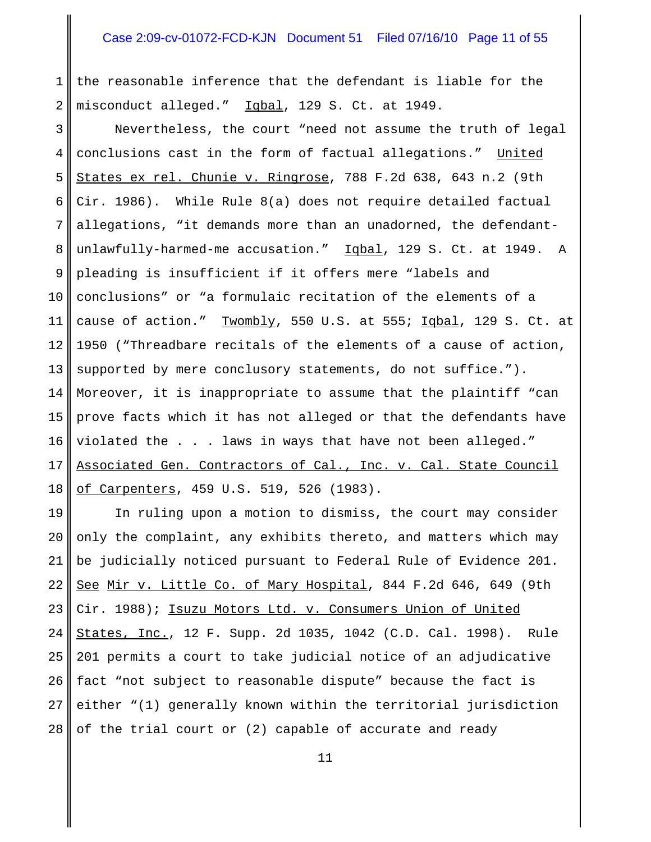1 2 the reasonable inference that the defendant is liable for the misconduct alleged." Iqbal, 129 S. Ct. at 1949.

3 4 5 6 7 8 9 10 11 12 13 14 15 16 17 18 Nevertheless, the court "need not assume the truth of legal conclusions cast in the form of factual allegations." United States ex rel. Chunie v. Ringrose, 788 F.2d 638, 643 n.2 (9th Cir. 1986). While Rule 8(a) does not require detailed factual allegations, "it demands more than an unadorned, the defendantunlawfully-harmed-me accusation." Iqbal, 129 S. Ct. at 1949. A pleading is insufficient if it offers mere "labels and conclusions" or "a formulaic recitation of the elements of a cause of action." Twombly, 550 U.S. at 555; Iqbal, 129 S. Ct. at 1950 ("Threadbare recitals of the elements of a cause of action, supported by mere conclusory statements, do not suffice."). Moreover, it is inappropriate to assume that the plaintiff "can prove facts which it has not alleged or that the defendants have violated the . . . laws in ways that have not been alleged." Associated Gen. Contractors of Cal., Inc. v. Cal. State Council of Carpenters, 459 U.S. 519, 526 (1983).

19 20 21 22 23 24 25 26 27 28 In ruling upon a motion to dismiss, the court may consider only the complaint, any exhibits thereto, and matters which may be judicially noticed pursuant to Federal Rule of Evidence 201. See Mir v. Little Co. of Mary Hospital, 844 F.2d 646, 649 (9th Cir. 1988); Isuzu Motors Ltd. v. Consumers Union of United States, Inc., 12 F. Supp. 2d 1035, 1042 (C.D. Cal. 1998). Rule 201 permits a court to take judicial notice of an adjudicative fact "not subject to reasonable dispute" because the fact is either "(1) generally known within the territorial jurisdiction of the trial court or (2) capable of accurate and ready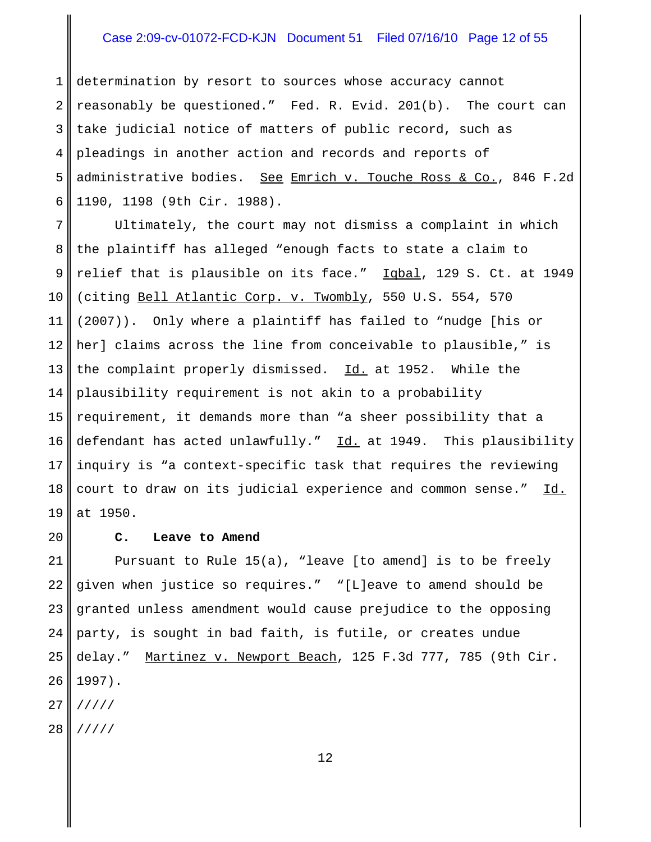# Case 2:09-cv-01072-FCD-KJN Document 51 Filed 07/16/10 Page 12 of 55

1 2 3 4 5 6 determination by resort to sources whose accuracy cannot reasonably be questioned." Fed. R. Evid. 201(b). The court can take judicial notice of matters of public record, such as pleadings in another action and records and reports of administrative bodies. See Emrich v. Touche Ross & Co., 846 F.2d 1190, 1198 (9th Cir. 1988).

7 8 9 10 11 12 13 14 15 16 17 18 19 Ultimately, the court may not dismiss a complaint in which the plaintiff has alleged "enough facts to state a claim to relief that is plausible on its face." Iqbal, 129 S. Ct. at 1949 (citing Bell Atlantic Corp. v. Twombly, 550 U.S. 554, 570 (2007)). Only where a plaintiff has failed to "nudge [his or her] claims across the line from conceivable to plausible," is the complaint properly dismissed. Id. at 1952. While the plausibility requirement is not akin to a probability requirement, it demands more than "a sheer possibility that a defendant has acted unlawfully." Id. at 1949. This plausibility inquiry is "a context-specific task that requires the reviewing court to draw on its judicial experience and common sense." Id. at 1950.

#### **C. Leave to Amend**

20

21 22 23 24 25 26 27 28 Pursuant to Rule 15(a), "leave [to amend] is to be freely given when justice so requires." "[L]eave to amend should be granted unless amendment would cause prejudice to the opposing party, is sought in bad faith, is futile, or creates undue delay." Martinez v. Newport Beach, 125 F.3d 777, 785 (9th Cir. 1997). ///// /////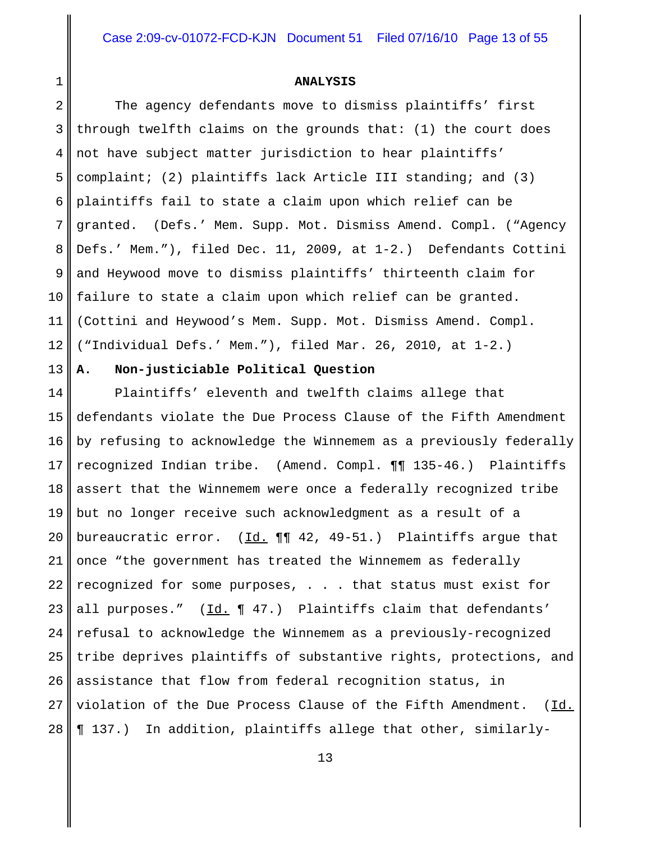#### **ANALYSIS**

2 3 4 5 6 7 8 9 10 11 12 The agency defendants move to dismiss plaintiffs' first through twelfth claims on the grounds that: (1) the court does not have subject matter jurisdiction to hear plaintiffs' complaint; (2) plaintiffs lack Article III standing; and (3) plaintiffs fail to state a claim upon which relief can be granted. (Defs.' Mem. Supp. Mot. Dismiss Amend. Compl. ("Agency Defs.' Mem."), filed Dec. 11, 2009, at 1-2.) Defendants Cottini and Heywood move to dismiss plaintiffs' thirteenth claim for failure to state a claim upon which relief can be granted. (Cottini and Heywood's Mem. Supp. Mot. Dismiss Amend. Compl. ("Individual Defs.' Mem."), filed Mar. 26, 2010, at 1-2.)

**A. Non-justiciable Political Question**

1

13

14 15 16 17 18 19 20 21 22 23 24 25 26 27 28 Plaintiffs' eleventh and twelfth claims allege that defendants violate the Due Process Clause of the Fifth Amendment by refusing to acknowledge the Winnemem as a previously federally recognized Indian tribe. (Amend. Compl. ¶¶ 135-46.) Plaintiffs assert that the Winnemem were once a federally recognized tribe but no longer receive such acknowledgment as a result of a bureaucratic error.  $(\underline{Id.} \P \P 42, 49-51.)$  Plaintiffs argue that once "the government has treated the Winnemem as federally recognized for some purposes, . . . that status must exist for all purposes."  $(\underline{Id.} \P 47.)$  Plaintiffs claim that defendants' refusal to acknowledge the Winnemem as a previously-recognized tribe deprives plaintiffs of substantive rights, protections, and assistance that flow from federal recognition status, in violation of the Due Process Clause of the Fifth Amendment. (Id. ¶ 137.) In addition, plaintiffs allege that other, similarly-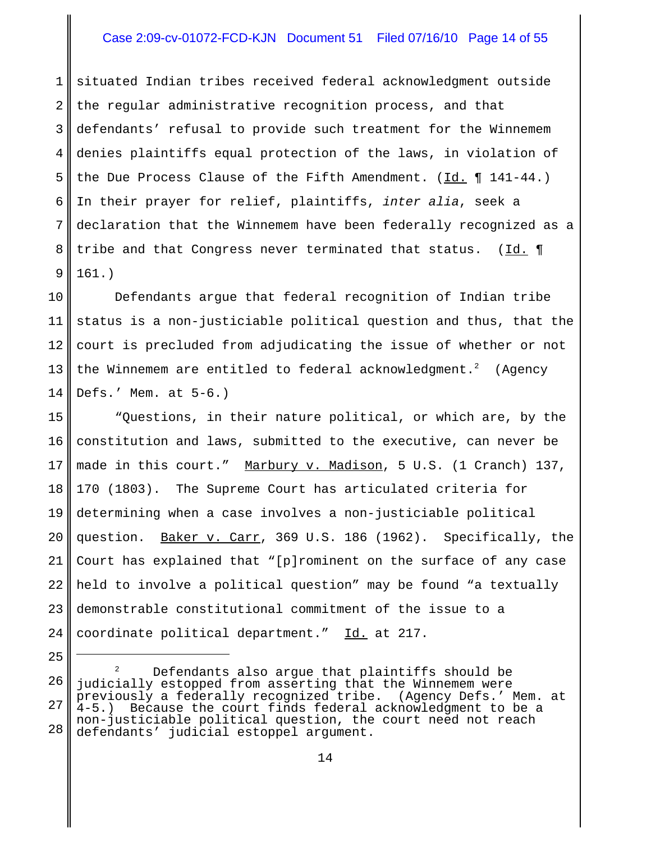# Case 2:09-cv-01072-FCD-KJN Document 51 Filed 07/16/10 Page 14 of 55

1 2 3 4 5 6 7 8 9 situated Indian tribes received federal acknowledgment outside the regular administrative recognition process, and that defendants' refusal to provide such treatment for the Winnemem denies plaintiffs equal protection of the laws, in violation of the Due Process Clause of the Fifth Amendment. ( $\underline{Id.}$  ¶ 141-44.) In their prayer for relief, plaintiffs, *inter alia*, seek a declaration that the Winnemem have been federally recognized as a tribe and that Congress never terminated that status. ( $\underline{Id.} \P$ 161.)

10 11 12 13 14 Defendants argue that federal recognition of Indian tribe status is a non-justiciable political question and thus, that the court is precluded from adjudicating the issue of whether or not the Winnemem are entitled to federal acknowledgment.<sup>2</sup> (Agency Defs.' Mem. at 5-6.)

15 16 17 18 19 20 21 22 23 24 "Questions, in their nature political, or which are, by the constitution and laws, submitted to the executive, can never be made in this court." Marbury v. Madison, 5 U.S. (1 Cranch) 137, 170 (1803). The Supreme Court has articulated criteria for determining when a case involves a non-justiciable political question. Baker v. Carr, 369 U.S. 186 (1962). Specifically, the Court has explained that "[p]rominent on the surface of any case held to involve a political question" may be found "a textually demonstrable constitutional commitment of the issue to a coordinate political department." Id. at 217.

<sup>25</sup>

<sup>26</sup> 27 28 Defendants also argue that plaintiffs should be judicially estopped from asserting that the Winnemem were previously a federally recognized tribe. (Agency Defs.' Mem. at<br>4-5.) Because the court finds federal acknowledqment to be a Because the court finds federal acknowledgment to be a non-justiciable political question, the court need not reach defendants' judicial estoppel argument.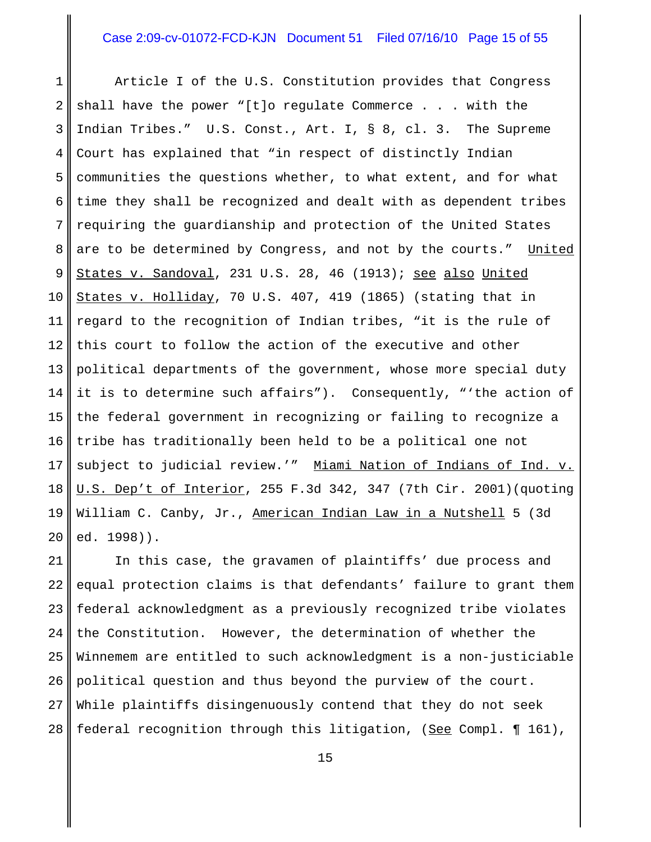# Case 2:09-cv-01072-FCD-KJN Document 51 Filed 07/16/10 Page 15 of 55

1 2 3 4 5 6 7 8 9 10 11 12 13 14 15 16 17 18 19 20 Article I of the U.S. Constitution provides that Congress shall have the power "[t]o regulate Commerce . . . with the Indian Tribes." U.S. Const., Art. I, § 8, cl. 3. The Supreme Court has explained that "in respect of distinctly Indian communities the questions whether, to what extent, and for what time they shall be recognized and dealt with as dependent tribes requiring the guardianship and protection of the United States are to be determined by Congress, and not by the courts." United States v. Sandoval, 231 U.S. 28, 46 (1913); see also United States v. Holliday, 70 U.S. 407, 419 (1865) (stating that in regard to the recognition of Indian tribes, "it is the rule of this court to follow the action of the executive and other political departments of the government, whose more special duty it is to determine such affairs"). Consequently, "'the action of the federal government in recognizing or failing to recognize a tribe has traditionally been held to be a political one not subject to judicial review.'" Miami Nation of Indians of Ind. v. U.S. Dep't of Interior, 255 F.3d 342, 347 (7th Cir. 2001)(quoting William C. Canby, Jr., American Indian Law in a Nutshell 5 (3d ed. 1998)).

21 22 23 24 25 26 27 28 In this case, the gravamen of plaintiffs' due process and equal protection claims is that defendants' failure to grant them federal acknowledgment as a previously recognized tribe violates the Constitution. However, the determination of whether the Winnemem are entitled to such acknowledgment is a non-justiciable political question and thus beyond the purview of the court. While plaintiffs disingenuously contend that they do not seek federal recognition through this litigation, (See Compl. ¶ 161),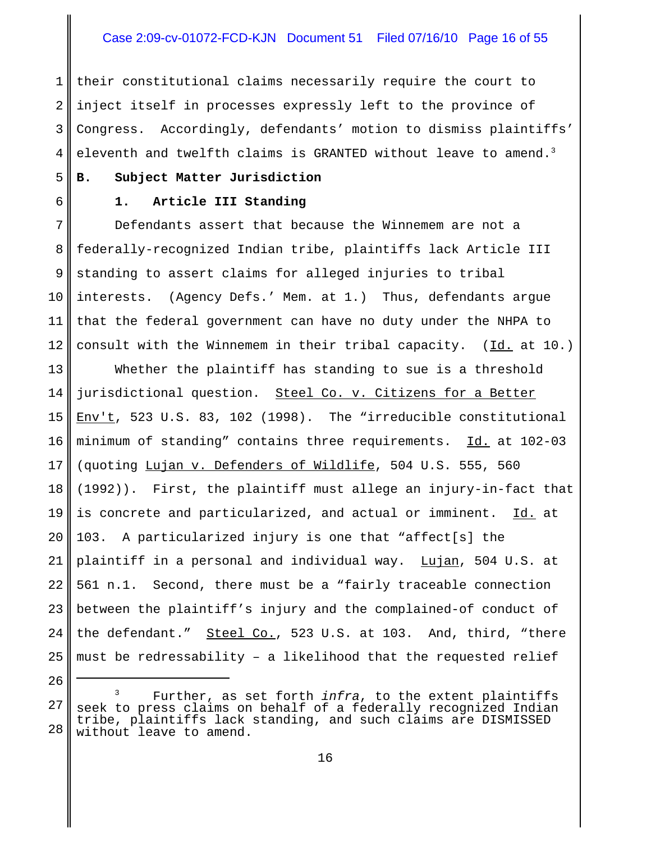# Case 2:09-cv-01072-FCD-KJN Document 51 Filed 07/16/10 Page 16 of 55

1 2 3 4 their constitutional claims necessarily require the court to inject itself in processes expressly left to the province of Congress. Accordingly, defendants' motion to dismiss plaintiffs' eleventh and twelfth claims is GRANTED without leave to amend.<sup>3</sup>

# **B. Subject Matter Jurisdiction**

5

6

26

#### **1. Article III Standing**

7 8 9 10 11 12 Defendants assert that because the Winnemem are not a federally-recognized Indian tribe, plaintiffs lack Article III standing to assert claims for alleged injuries to tribal interests. (Agency Defs.' Mem. at 1.) Thus, defendants argue that the federal government can have no duty under the NHPA to consult with the Winnemem in their tribal capacity.  $(Id. at 10.)$ 

13 14 15 16 17 18 19 20 21 22 23 24 25 Whether the plaintiff has standing to sue is a threshold jurisdictional question. Steel Co. v. Citizens for a Better Env't, 523 U.S. 83, 102 (1998). The "irreducible constitutional minimum of standing" contains three requirements. Id. at 102-03 (quoting Lujan v. Defenders of Wildlife, 504 U.S. 555, 560 (1992)). First, the plaintiff must allege an injury-in-fact that is concrete and particularized, and actual or imminent. Id. at 103. A particularized injury is one that "affect[s] the plaintiff in a personal and individual way. Lujan, 504 U.S. at 561 n.1. Second, there must be a "fairly traceable connection between the plaintiff's injury and the complained-of conduct of the defendant." Steel Co., 523 U.S. at 103. And, third, "there must be redressability – a likelihood that the requested relief

<sup>27</sup> 28 Further, as set forth *infra*, to the extent plaintiffs seek to press claims on behalf of a federally recognized Indian tribe, plaintiffs lack standing, and such claims are DISMISSED without leave to amend.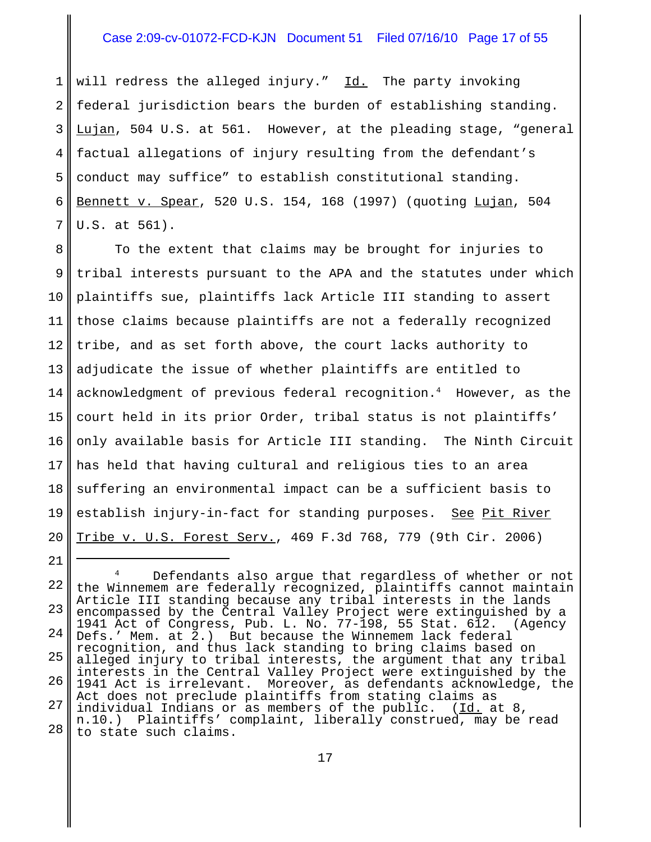# Case 2:09-cv-01072-FCD-KJN Document 51 Filed 07/16/10 Page 17 of 55

1 2 3 4 5 6 7 will redress the alleged injury." Id. The party invoking federal jurisdiction bears the burden of establishing standing. Lujan, 504 U.S. at 561. However, at the pleading stage, "general factual allegations of injury resulting from the defendant's conduct may suffice" to establish constitutional standing. Bennett v. Spear, 520 U.S. 154, 168 (1997) (quoting Lujan, 504 U.S. at 561).

8 9 10 11 12 13 14 15 16 17 18 19 20 To the extent that claims may be brought for injuries to tribal interests pursuant to the APA and the statutes under which plaintiffs sue, plaintiffs lack Article III standing to assert those claims because plaintiffs are not a federally recognized tribe, and as set forth above, the court lacks authority to adjudicate the issue of whether plaintiffs are entitled to acknowledgment of previous federal recognition.4 However, as the court held in its prior Order, tribal status is not plaintiffs' only available basis for Article III standing. The Ninth Circuit has held that having cultural and religious ties to an area suffering an environmental impact can be a sufficient basis to establish injury-in-fact for standing purposes. See Pit River Tribe v. U.S. Forest Serv., 469 F.3d 768, 779 (9th Cir. 2006)

<sup>22</sup> 23 24 25 26 27 28 Defendants also argue that regardless of whether or not the Winnemem are federally recognized, plaintiffs cannot maintain Article III standing because any tribal interests in the lands encompassed by the Central Valley Project were extinguished by a 1941 Act of Congress, Pub. L. No. 77-198, 55 Stat. 612. (Agency Defs.' Mem. at 2.) But because the Winnemem lack federal recognition, and thus lack standing to bring claims based on alleged injury to tribal interests, the argument that any tribal interests in the Central Valley Project were extinguished by the 1941 Act is irrelevant. Moreover, as defendants acknowledge, the Act does not preclude plaintiffs from stating claims as individual Indians or as members of the public. (Id. at 8, n.10.) Plaintiffs' complaint, liberally construed, may be read to state such claims.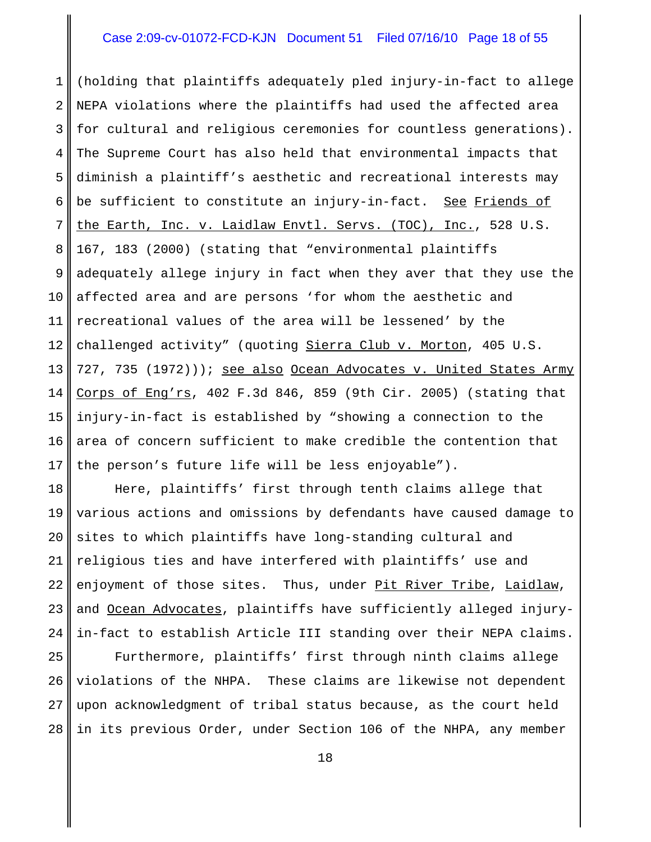### Case 2:09-cv-01072-FCD-KJN Document 51 Filed 07/16/10 Page 18 of 55

1 2 3 4 5 6 7 8 9 10 11 12 13 14 15 16 17 (holding that plaintiffs adequately pled injury-in-fact to allege NEPA violations where the plaintiffs had used the affected area for cultural and religious ceremonies for countless generations). The Supreme Court has also held that environmental impacts that diminish a plaintiff's aesthetic and recreational interests may be sufficient to constitute an injury-in-fact. See Friends of the Earth, Inc. v. Laidlaw Envtl. Servs. (TOC), Inc., 528 U.S. 167, 183 (2000) (stating that "environmental plaintiffs adequately allege injury in fact when they aver that they use the affected area and are persons 'for whom the aesthetic and recreational values of the area will be lessened' by the challenged activity" (quoting Sierra Club v. Morton, 405 U.S. 727, 735 (1972))); see also Ocean Advocates v. United States Army Corps of Eng'rs, 402 F.3d 846, 859 (9th Cir. 2005) (stating that injury-in-fact is established by "showing a connection to the area of concern sufficient to make credible the contention that the person's future life will be less enjoyable").

18 19 20 21 22 23 24 Here, plaintiffs' first through tenth claims allege that various actions and omissions by defendants have caused damage to sites to which plaintiffs have long-standing cultural and religious ties and have interfered with plaintiffs' use and enjoyment of those sites. Thus, under Pit River Tribe, Laidlaw, and Ocean Advocates, plaintiffs have sufficiently alleged injuryin-fact to establish Article III standing over their NEPA claims.

25 26 27 28 Furthermore, plaintiffs' first through ninth claims allege violations of the NHPA. These claims are likewise not dependent upon acknowledgment of tribal status because, as the court held in its previous Order, under Section 106 of the NHPA, any member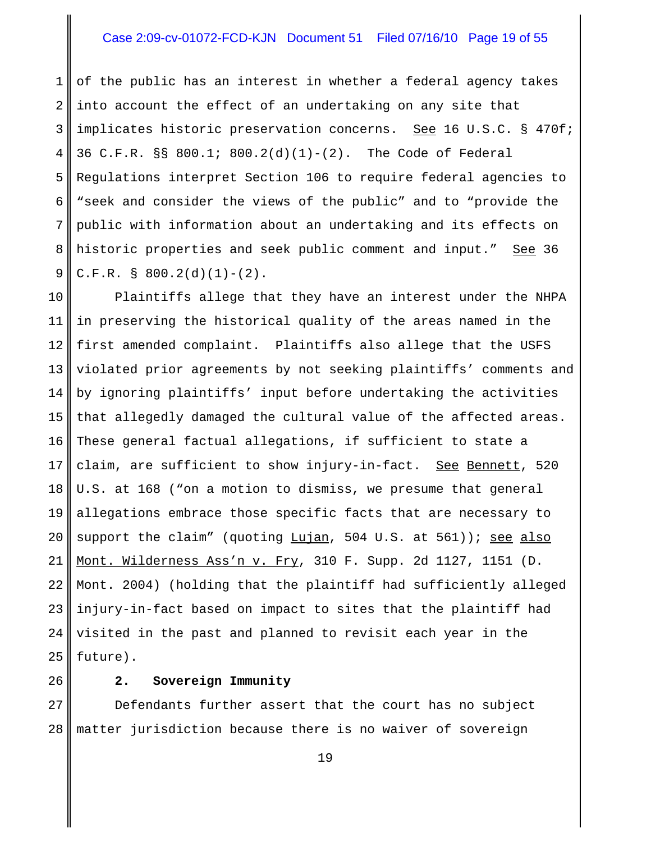# Case 2:09-cv-01072-FCD-KJN Document 51 Filed 07/16/10 Page 19 of 55

1 2 3 4 5 6 7 8 9 of the public has an interest in whether a federal agency takes into account the effect of an undertaking on any site that implicates historic preservation concerns. See 16 U.S.C. § 470f; 36 C.F.R. §§ 800.1; 800.2(d)(1)-(2). The Code of Federal Regulations interpret Section 106 to require federal agencies to "seek and consider the views of the public" and to "provide the public with information about an undertaking and its effects on historic properties and seek public comment and input." See 36 C.F.R. § 800.2(d)(1)-(2).

10 11 12 13 14 15 16 17 18 19 20 21 22 23 24 25 Plaintiffs allege that they have an interest under the NHPA in preserving the historical quality of the areas named in the first amended complaint. Plaintiffs also allege that the USFS violated prior agreements by not seeking plaintiffs' comments and by ignoring plaintiffs' input before undertaking the activities that allegedly damaged the cultural value of the affected areas. These general factual allegations, if sufficient to state a claim, are sufficient to show injury-in-fact. See Bennett, 520 U.S. at 168 ("on a motion to dismiss, we presume that general allegations embrace those specific facts that are necessary to support the claim" (quoting Lujan, 504 U.S. at 561)); see also Mont. Wilderness Ass'n v. Fry, 310 F. Supp. 2d 1127, 1151 (D. Mont. 2004) (holding that the plaintiff had sufficiently alleged injury-in-fact based on impact to sites that the plaintiff had visited in the past and planned to revisit each year in the future).

**2. Sovereign Immunity**

26

27 28 Defendants further assert that the court has no subject matter jurisdiction because there is no waiver of sovereign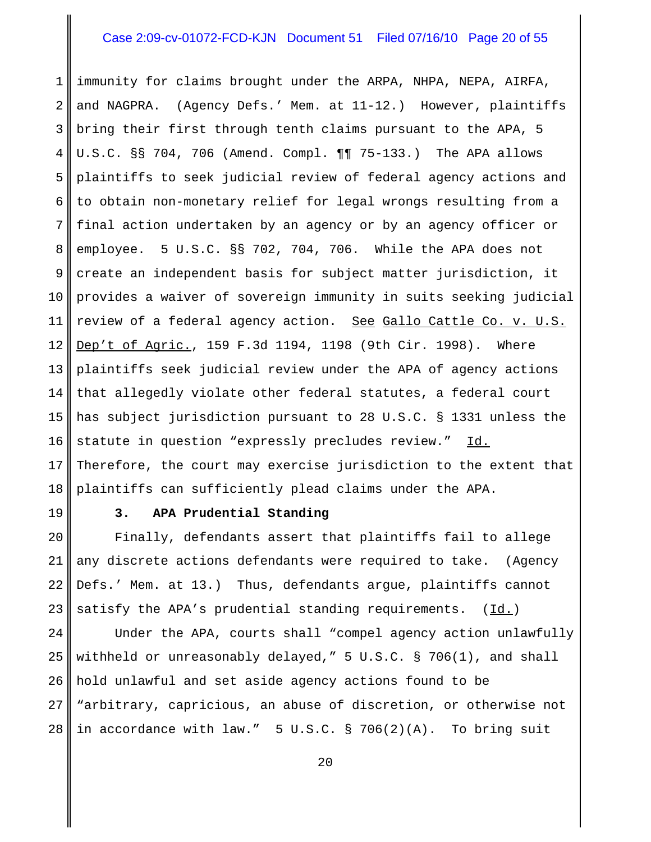# Case 2:09-cv-01072-FCD-KJN Document 51 Filed 07/16/10 Page 20 of 55

1 2 3 4 5 6 7 8 9 10 11 12 13 14 15 16 17 18 immunity for claims brought under the ARPA, NHPA, NEPA, AIRFA, and NAGPRA. (Agency Defs.' Mem. at 11-12.) However, plaintiffs bring their first through tenth claims pursuant to the APA, 5 U.S.C. §§ 704, 706 (Amend. Compl. ¶¶ 75-133.) The APA allows plaintiffs to seek judicial review of federal agency actions and to obtain non-monetary relief for legal wrongs resulting from a final action undertaken by an agency or by an agency officer or employee. 5 U.S.C. §§ 702, 704, 706. While the APA does not create an independent basis for subject matter jurisdiction, it provides a waiver of sovereign immunity in suits seeking judicial review of a federal agency action. See Gallo Cattle Co. v. U.S. Dep't of Agric., 159 F.3d 1194, 1198 (9th Cir. 1998). Where plaintiffs seek judicial review under the APA of agency actions that allegedly violate other federal statutes, a federal court has subject jurisdiction pursuant to 28 U.S.C. § 1331 unless the statute in question "expressly precludes review." Id. Therefore, the court may exercise jurisdiction to the extent that plaintiffs can sufficiently plead claims under the APA.

19

#### **3. APA Prudential Standing**

20 21 22 23 Finally, defendants assert that plaintiffs fail to allege any discrete actions defendants were required to take. (Agency Defs.' Mem. at 13.) Thus, defendants argue, plaintiffs cannot satisfy the APA's prudential standing requirements.  $(Id.)$ 

24 25 26 27 28 Under the APA, courts shall "compel agency action unlawfully withheld or unreasonably delayed," 5 U.S.C. § 706(1), and shall hold unlawful and set aside agency actions found to be "arbitrary, capricious, an abuse of discretion, or otherwise not in accordance with law." 5 U.S.C. § 706(2)(A). To bring suit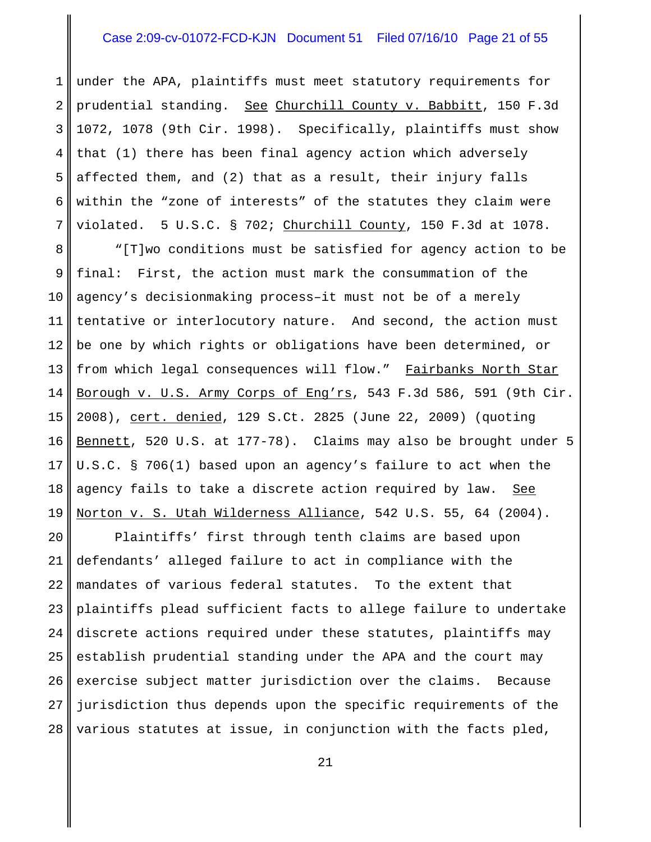# Case 2:09-cv-01072-FCD-KJN Document 51 Filed 07/16/10 Page 21 of 55

1 2 3 4 5 6 7 under the APA, plaintiffs must meet statutory requirements for prudential standing. See Churchill County v. Babbitt, 150 F.3d 1072, 1078 (9th Cir. 1998). Specifically, plaintiffs must show that (1) there has been final agency action which adversely affected them, and (2) that as a result, their injury falls within the "zone of interests" of the statutes they claim were violated. 5 U.S.C. § 702; Churchill County, 150 F.3d at 1078.

8 9 10 11 12 13 14 15 16 17 18 19 "[T]wo conditions must be satisfied for agency action to be final: First, the action must mark the consummation of the agency's decisionmaking process–it must not be of a merely tentative or interlocutory nature. And second, the action must be one by which rights or obligations have been determined, or from which legal consequences will flow." Fairbanks North Star Borough v. U.S. Army Corps of Eng'rs, 543 F.3d 586, 591 (9th Cir. 2008), cert. denied, 129 S.Ct. 2825 (June 22, 2009) (quoting Bennett, 520 U.S. at 177-78). Claims may also be brought under 5 U.S.C. § 706(1) based upon an agency's failure to act when the agency fails to take a discrete action required by law. See Norton v. S. Utah Wilderness Alliance, 542 U.S. 55, 64 (2004).

20 21 22 23 24 25 26 27 28 Plaintiffs' first through tenth claims are based upon defendants' alleged failure to act in compliance with the mandates of various federal statutes. To the extent that plaintiffs plead sufficient facts to allege failure to undertake discrete actions required under these statutes, plaintiffs may establish prudential standing under the APA and the court may exercise subject matter jurisdiction over the claims. Because jurisdiction thus depends upon the specific requirements of the various statutes at issue, in conjunction with the facts pled,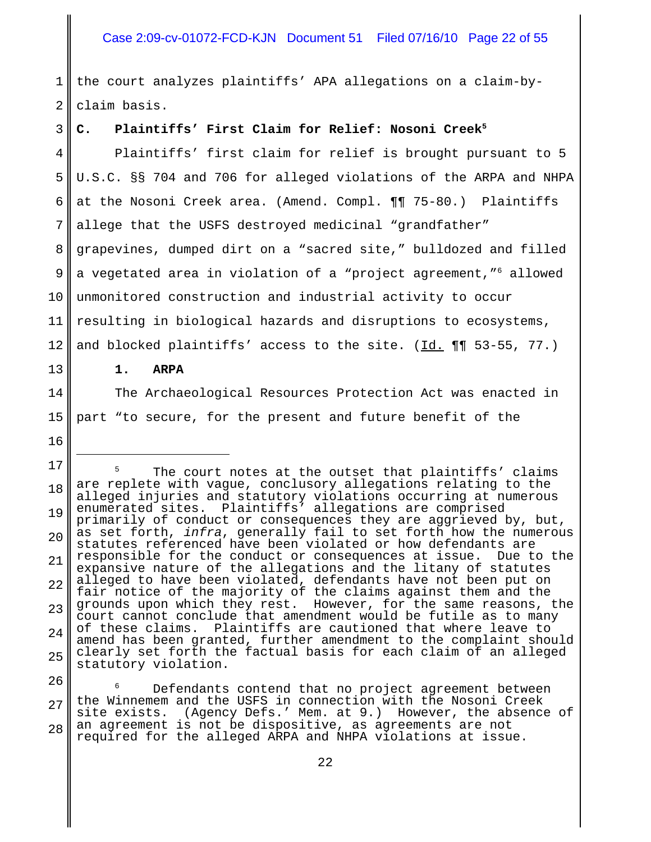# Case 2:09-cv-01072-FCD-KJN Document 51 Filed 07/16/10 Page 22 of 55

1 2 the court analyzes plaintiffs' APA allegations on a claim-byclaim basis.

#### 3 C. Plaintiffs' First Claim for Relief: Nosoni Creek<sup>5</sup>

4 5 6 7 8 9 10 11 12 Plaintiffs' first claim for relief is brought pursuant to 5 U.S.C. §§ 704 and 706 for alleged violations of the ARPA and NHPA at the Nosoni Creek area. (Amend. Compl. ¶¶ 75-80.) Plaintiffs allege that the USFS destroyed medicinal "grandfather" grapevines, dumped dirt on a "sacred site," bulldozed and filled a vegetated area in violation of a "project agreement,"6 allowed unmonitored construction and industrial activity to occur resulting in biological hazards and disruptions to ecosystems, and blocked plaintiffs' access to the site.  $(\underline{Id.} \P \P \S 3-55, 77.)$ 

**1. ARPA**

13

14

15

16

The Archaeological Resources Protection Act was enacted in part "to secure, for the present and future benefit of the

17 18 19 20 21 22 23 24 25 The court notes at the outset that plaintiffs' claims are replete with vague, conclusory allegations relating to the alleged injuries and statutory violations occurring at numerous enumerated sites. Plaintiffs' allegations are comprised primarily of conduct or consequences they are aggrieved by, but, as set forth, *infra*, generally fail to set forth how the numerous statutes referenced have been violated or how defendants are responsible for the conduct or consequences at issue. Due to the expansive nature of the allegations and the litany of statutes alleged to have been violated, defendants have not been put on fair notice of the majority of the claims against them and the grounds upon which they rest. However, for the same reasons, the court cannot conclude that amendment would be futile as to many of these claims. Plaintiffs are cautioned that where leave to amend has been granted, further amendment to the complaint should clearly set forth the factual basis for each claim of an alleged statutory violation.

26 27 28 <sup>6</sup> Defendants contend that no project agreement between the Winnemem and the USFS in connection with the Nosoni Creek<br>site exists. (Agency Defs.' Mem. at 9.) However, the absence (Agency Defs.' Mem. at 9.) However, the absence of an agreement is not be dispositive, as agreements are not required for the alleged ARPA and NHPA violations at issue.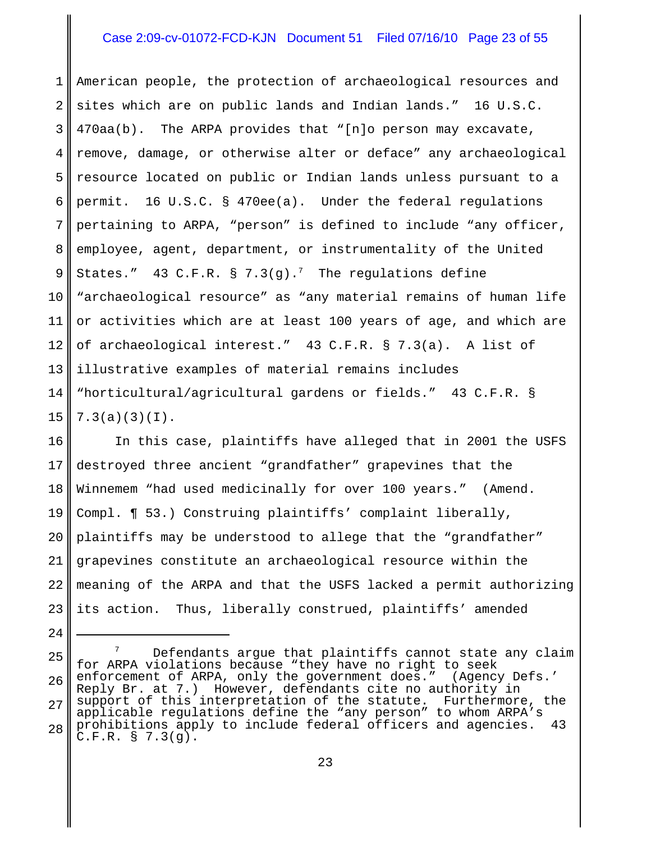### Case 2:09-cv-01072-FCD-KJN Document 51 Filed 07/16/10 Page 23 of 55

1 2 3 4 5 6 7 8 9 10 11 12 13 14 15 American people, the protection of archaeological resources and sites which are on public lands and Indian lands." 16 U.S.C. 470aa(b). The ARPA provides that "[n]o person may excavate, remove, damage, or otherwise alter or deface" any archaeological resource located on public or Indian lands unless pursuant to a permit. 16 U.S.C. § 470ee(a). Under the federal regulations pertaining to ARPA, "person" is defined to include "any officer, employee, agent, department, or instrumentality of the United States." 43 C.F.R. § 7.3(g).<sup>7</sup> The regulations define "archaeological resource" as "any material remains of human life or activities which are at least 100 years of age, and which are of archaeological interest." 43 C.F.R. § 7.3(a). A list of illustrative examples of material remains includes "horticultural/agricultural gardens or fields." 43 C.F.R. § 7.3(a)(3)(I).

16 17 18 19 20 21 22 23 In this case, plaintiffs have alleged that in 2001 the USFS destroyed three ancient "grandfather" grapevines that the Winnemem "had used medicinally for over 100 years." (Amend. Compl. ¶ 53.) Construing plaintiffs' complaint liberally, plaintiffs may be understood to allege that the "grandfather" grapevines constitute an archaeological resource within the meaning of the ARPA and that the USFS lacked a permit authorizing its action. Thus, liberally construed, plaintiffs' amended

<sup>25</sup> 26 27 28  $7$  Defendants argue that plaintiffs cannot state any claim for ARPA violations because "they have no right to seek<br>enforcement of ARPA, only the government does." (Agency Defs.' enforcement of ARPA, only the government does." Reply Br. at 7.) However, defendants cite no authority in support of this interpretation of the statute. Furthermore, the applicable regulations define the "any person" to whom ARPA's prohibitions apply to include federal officers and agencies. 43 C.F.R. § 7.3(g).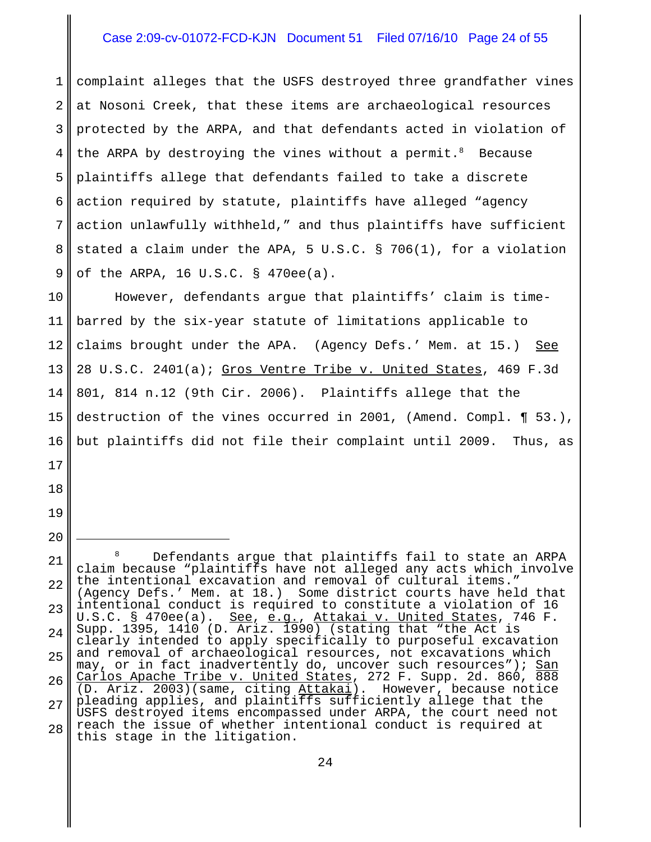# Case 2:09-cv-01072-FCD-KJN Document 51 Filed 07/16/10 Page 24 of 55

1 2 3 4 5 6 7 8 9 complaint alleges that the USFS destroyed three grandfather vines at Nosoni Creek, that these items are archaeological resources protected by the ARPA, and that defendants acted in violation of the ARPA by destroying the vines without a permit.  $8$  Because plaintiffs allege that defendants failed to take a discrete action required by statute, plaintiffs have alleged "agency action unlawfully withheld," and thus plaintiffs have sufficient stated a claim under the APA, 5 U.S.C. § 706(1), for a violation of the ARPA, 16 U.S.C. § 470ee(a).

10 11 12 13 14 15 16 However, defendants argue that plaintiffs' claim is timebarred by the six-year statute of limitations applicable to claims brought under the APA. (Agency Defs.' Mem. at 15.) See 28 U.S.C. 2401(a); Gros Ventre Tribe v. United States, 469 F.3d 801, 814 n.12 (9th Cir. 2006). Plaintiffs allege that the destruction of the vines occurred in 2001, (Amend. Compl. ¶ 53.), but plaintiffs did not file their complaint until 2009. Thus, as

17

18

19

<sup>21</sup> 22 23 24 25 26 27 28 Defendants argue that plaintiffs fail to state an ARPA claim because "plaintiffs have not alleged any acts which involve the intentional excavation and removal of cultural items." (Agency Defs.' Mem. at 18.) Some district courts have held that intentional conduct is required to constitute a violation of 16 U.S.C. § 470ee(a). See, e.g., Attakai v. United States, 746 F. Supp. 1395, 1410 (D. Ariz. 1990) (stating that "the Act is clearly intended to apply specifically to purposeful excavation and removal of archaeological resources, not excavations which may, or in fact inadvertently do, uncover such resources"); San Carlos Apache Tribe v. United States, 272 F. Supp. 2d. 860, 888  $(D. Ariz. 2003)$  (same, citing  $Attakai$ ). However, because notice pleading applies, and plaintiffs sufficiently allege that the USFS destroyed items encompassed under ARPA, the court need not reach the issue of whether intentional conduct is required at this stage in the litigation.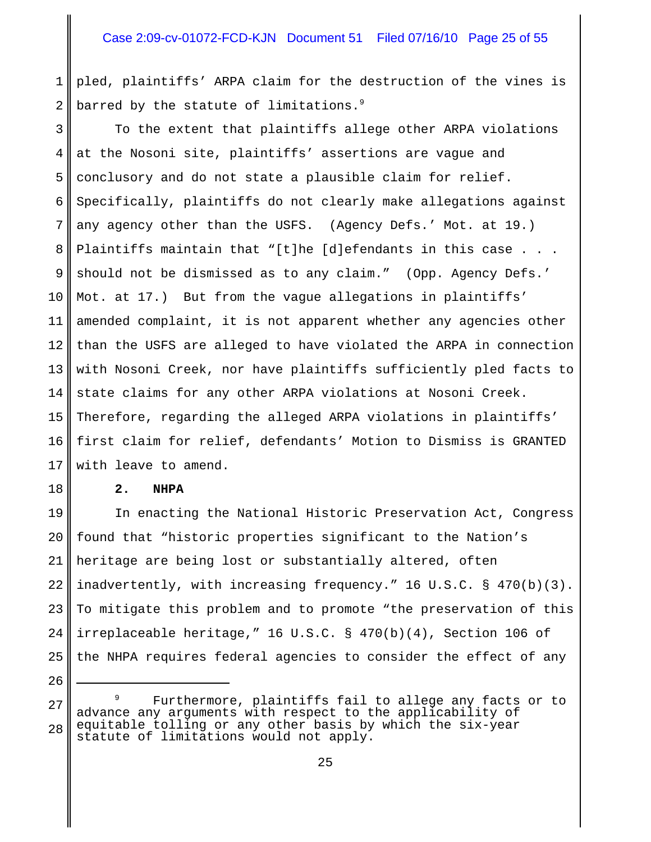1 2 pled, plaintiffs' ARPA claim for the destruction of the vines is barred by the statute of limitations.<sup>9</sup>

3 4 5 6 7 8 9 10 11 12 13 14 15 16 17 To the extent that plaintiffs allege other ARPA violations at the Nosoni site, plaintiffs' assertions are vague and conclusory and do not state a plausible claim for relief. Specifically, plaintiffs do not clearly make allegations against any agency other than the USFS. (Agency Defs.' Mot. at 19.) Plaintiffs maintain that "[t]he [d]efendants in this case . . . should not be dismissed as to any claim." (Opp. Agency Defs.' Mot. at 17.) But from the vague allegations in plaintiffs' amended complaint, it is not apparent whether any agencies other than the USFS are alleged to have violated the ARPA in connection with Nosoni Creek, nor have plaintiffs sufficiently pled facts to state claims for any other ARPA violations at Nosoni Creek. Therefore, regarding the alleged ARPA violations in plaintiffs' first claim for relief, defendants' Motion to Dismiss is GRANTED with leave to amend.

#### **2. NHPA**

18

26

19 20 21 22 23 24 25 In enacting the National Historic Preservation Act, Congress found that "historic properties significant to the Nation's heritage are being lost or substantially altered, often inadvertently, with increasing frequency." 16 U.S.C. § 470(b)(3). To mitigate this problem and to promote "the preservation of this irreplaceable heritage," 16 U.S.C. § 470(b)(4), Section 106 of the NHPA requires federal agencies to consider the effect of any

<sup>27</sup> 28 Furthermore, plaintiffs fail to allege any facts or to advance any arguments with respect to the applicability of equitable tolling or any other basis by which the six-year statute of limitations would not apply.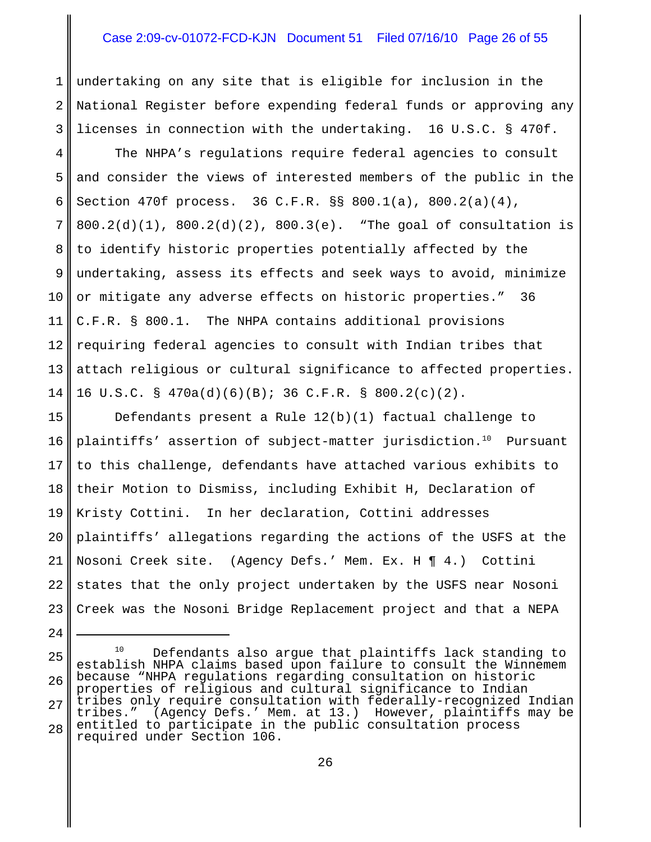# Case 2:09-cv-01072-FCD-KJN Document 51 Filed 07/16/10 Page 26 of 55

1 2 3 undertaking on any site that is eligible for inclusion in the National Register before expending federal funds or approving any licenses in connection with the undertaking. 16 U.S.C. § 470f.

4 5 6 7 8 9 10 11 12 13 14 The NHPA's regulations require federal agencies to consult and consider the views of interested members of the public in the Section 470f process. 36 C.F.R. §§ 800.1(a), 800.2(a)(4),  $800.2(d)(1)$ ,  $800.2(d)(2)$ ,  $800.3(e)$ . "The goal of consultation is to identify historic properties potentially affected by the undertaking, assess its effects and seek ways to avoid, minimize or mitigate any adverse effects on historic properties." 36 C.F.R. § 800.1. The NHPA contains additional provisions requiring federal agencies to consult with Indian tribes that attach religious or cultural significance to affected properties. 16 U.S.C. § 470a(d)(6)(B); 36 C.F.R. § 800.2(c)(2).

15 16 17 18 19 20 21 22 23 Defendants present a Rule 12(b)(1) factual challenge to plaintiffs' assertion of subject-matter jurisdiction.<sup>10</sup> Pursuant to this challenge, defendants have attached various exhibits to their Motion to Dismiss, including Exhibit H, Declaration of Kristy Cottini. In her declaration, Cottini addresses plaintiffs' allegations regarding the actions of the USFS at the Nosoni Creek site. (Agency Defs.' Mem. Ex. H ¶ 4.) Cottini states that the only project undertaken by the USFS near Nosoni Creek was the Nosoni Bridge Replacement project and that a NEPA

<sup>25</sup> 26 27 28 <sup>10</sup> Defendants also argue that plaintiffs lack standing to establish NHPA claims based upon failure to consult the Winnemem because "NHPA regulations regarding consultation on historic properties of religious and cultural significance to Indian tribes only require consultation with federally-recognized Indian tribes." (Agency Defs.' Mem. at 13.) However, plaintiffs may be entitled to participate in the public consultation process required under Section 106.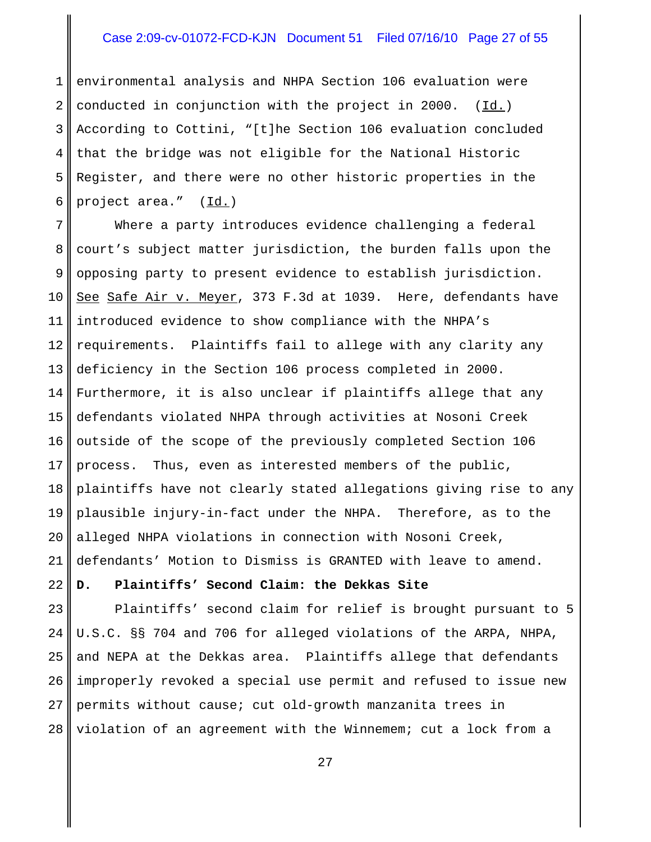# Case 2:09-cv-01072-FCD-KJN Document 51 Filed 07/16/10 Page 27 of 55

1 2 3 4 5 6 environmental analysis and NHPA Section 106 evaluation were conducted in conjunction with the project in 2000. (Id.) According to Cottini, "[t]he Section 106 evaluation concluded that the bridge was not eligible for the National Historic Register, and there were no other historic properties in the project area." (Id.)

7 8 9 10 11 12 13 14 15 16 17 18 19 20 21 Where a party introduces evidence challenging a federal court's subject matter jurisdiction, the burden falls upon the opposing party to present evidence to establish jurisdiction. See Safe Air v. Meyer, 373 F.3d at 1039. Here, defendants have introduced evidence to show compliance with the NHPA's requirements. Plaintiffs fail to allege with any clarity any deficiency in the Section 106 process completed in 2000. Furthermore, it is also unclear if plaintiffs allege that any defendants violated NHPA through activities at Nosoni Creek outside of the scope of the previously completed Section 106 process. Thus, even as interested members of the public, plaintiffs have not clearly stated allegations giving rise to any plausible injury-in-fact under the NHPA. Therefore, as to the alleged NHPA violations in connection with Nosoni Creek, defendants' Motion to Dismiss is GRANTED with leave to amend.

# **D. Plaintiffs' Second Claim: the Dekkas Site**

22

23 24 25 26 27 28 Plaintiffs' second claim for relief is brought pursuant to 5 U.S.C. §§ 704 and 706 for alleged violations of the ARPA, NHPA, and NEPA at the Dekkas area. Plaintiffs allege that defendants improperly revoked a special use permit and refused to issue new permits without cause; cut old-growth manzanita trees in violation of an agreement with the Winnemem; cut a lock from a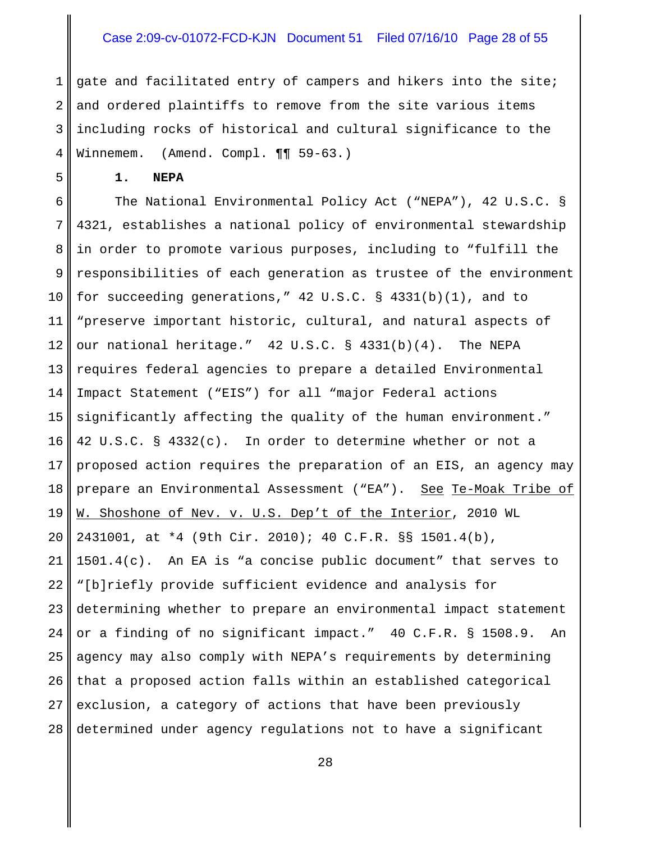# Case 2:09-cv-01072-FCD-KJN Document 51 Filed 07/16/10 Page 28 of 55

1 2 3 4 gate and facilitated entry of campers and hikers into the site; and ordered plaintiffs to remove from the site various items including rocks of historical and cultural significance to the Winnemem. (Amend. Compl. ¶¶ 59-63.)

**1. NEPA**

5

6 7 8 9 10 11 12 13 14 15 16 17 18 19 20 21 22 23 24 25 26 27 28 The National Environmental Policy Act ("NEPA"), 42 U.S.C. § 4321, establishes a national policy of environmental stewardship in order to promote various purposes, including to "fulfill the responsibilities of each generation as trustee of the environment for succeeding generations," 42 U.S.C. § 4331(b)(1), and to "preserve important historic, cultural, and natural aspects of our national heritage." 42 U.S.C. § 4331(b)(4). The NEPA requires federal agencies to prepare a detailed Environmental Impact Statement ("EIS") for all "major Federal actions significantly affecting the quality of the human environment." 42 U.S.C. § 4332(c). In order to determine whether or not a proposed action requires the preparation of an EIS, an agency may prepare an Environmental Assessment ("EA"). See Te-Moak Tribe of W. Shoshone of Nev. v. U.S. Dep't of the Interior, 2010 WL 2431001, at \*4 (9th Cir. 2010); 40 C.F.R. §§ 1501.4(b), 1501.4(c). An EA is "a concise public document" that serves to "[b]riefly provide sufficient evidence and analysis for determining whether to prepare an environmental impact statement or a finding of no significant impact." 40 C.F.R. § 1508.9. An agency may also comply with NEPA's requirements by determining that a proposed action falls within an established categorical exclusion, a category of actions that have been previously determined under agency regulations not to have a significant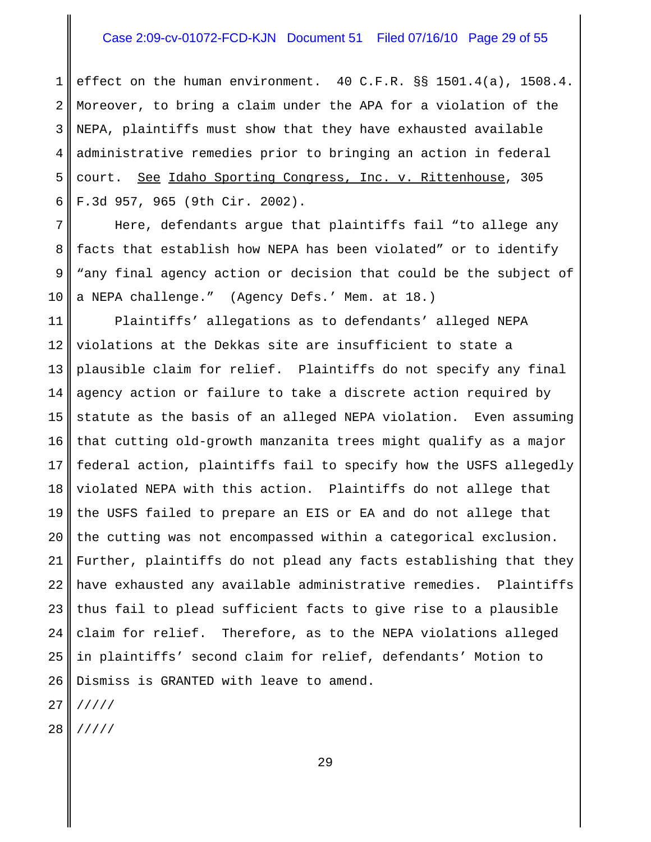### Case 2:09-cv-01072-FCD-KJN Document 51 Filed 07/16/10 Page 29 of 55

1 2 3 4 5 6 effect on the human environment. 40 C.F.R. §§ 1501.4(a), 1508.4. Moreover, to bring a claim under the APA for a violation of the NEPA, plaintiffs must show that they have exhausted available administrative remedies prior to bringing an action in federal court. See Idaho Sporting Congress, Inc. v. Rittenhouse, 305 F.3d 957, 965 (9th Cir. 2002).

7 8 9 10 Here, defendants argue that plaintiffs fail "to allege any facts that establish how NEPA has been violated" or to identify "any final agency action or decision that could be the subject of a NEPA challenge." (Agency Defs.' Mem. at 18.)

11 12 13 14 15 16 17 18 19 20 21 22 23 24 25 26 Plaintiffs' allegations as to defendants' alleged NEPA violations at the Dekkas site are insufficient to state a plausible claim for relief. Plaintiffs do not specify any final agency action or failure to take a discrete action required by statute as the basis of an alleged NEPA violation. Even assuming that cutting old-growth manzanita trees might qualify as a major federal action, plaintiffs fail to specify how the USFS allegedly violated NEPA with this action. Plaintiffs do not allege that the USFS failed to prepare an EIS or EA and do not allege that the cutting was not encompassed within a categorical exclusion. Further, plaintiffs do not plead any facts establishing that they have exhausted any available administrative remedies. Plaintiffs thus fail to plead sufficient facts to give rise to a plausible claim for relief. Therefore, as to the NEPA violations alleged in plaintiffs' second claim for relief, defendants' Motion to Dismiss is GRANTED with leave to amend.

27 /////

28 /////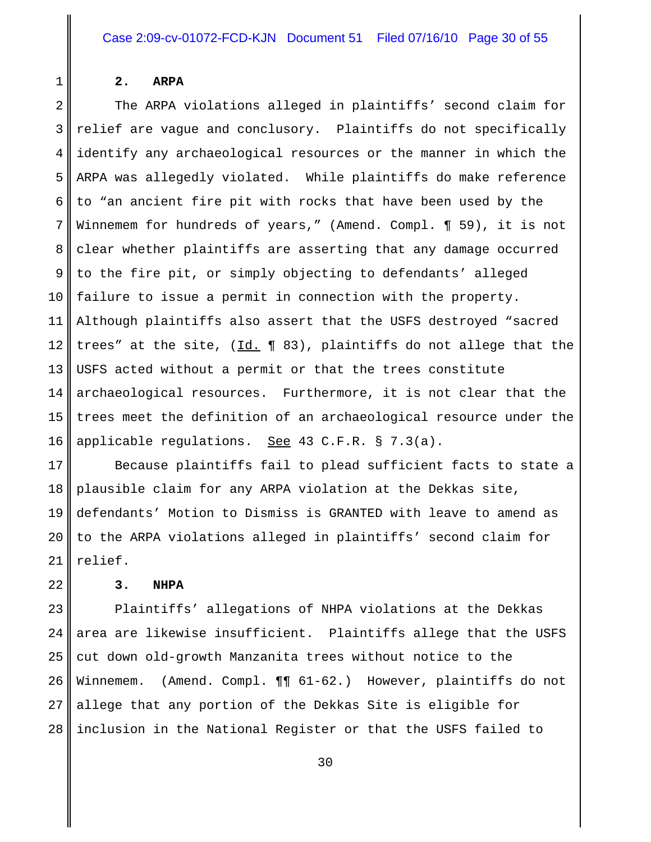**2. ARPA**

1

2 3 4 5 6 7 8 9 10 11 12 13 14 15 16 The ARPA violations alleged in plaintiffs' second claim for relief are vague and conclusory. Plaintiffs do not specifically identify any archaeological resources or the manner in which the ARPA was allegedly violated. While plaintiffs do make reference to "an ancient fire pit with rocks that have been used by the Winnemem for hundreds of years," (Amend. Compl. ¶ 59), it is not clear whether plaintiffs are asserting that any damage occurred to the fire pit, or simply objecting to defendants' alleged failure to issue a permit in connection with the property. Although plaintiffs also assert that the USFS destroyed "sacred trees" at the site,  $(\underline{Id.} \P 83)$ , plaintiffs do not allege that the USFS acted without a permit or that the trees constitute archaeological resources. Furthermore, it is not clear that the trees meet the definition of an archaeological resource under the applicable regulations. See 43 C.F.R. § 7.3(a).

17 18 19 20 21 Because plaintiffs fail to plead sufficient facts to state a plausible claim for any ARPA violation at the Dekkas site, defendants' Motion to Dismiss is GRANTED with leave to amend as to the ARPA violations alleged in plaintiffs' second claim for relief.

22

# **3. NHPA**

23 24 25 26 27 28 Plaintiffs' allegations of NHPA violations at the Dekkas area are likewise insufficient. Plaintiffs allege that the USFS cut down old-growth Manzanita trees without notice to the Winnemem. (Amend. Compl.  $\P\P$  61-62.) However, plaintiffs do not allege that any portion of the Dekkas Site is eligible for inclusion in the National Register or that the USFS failed to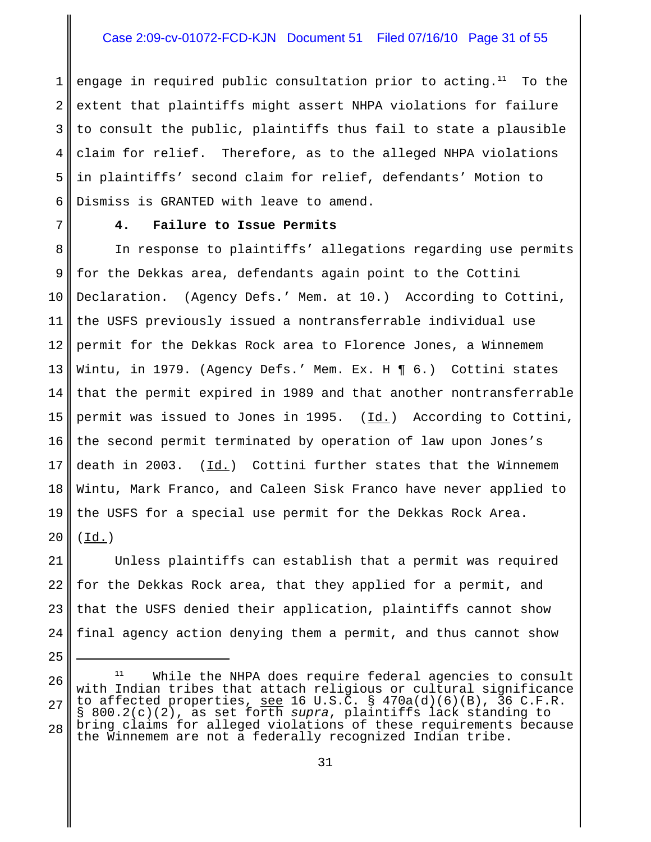# Case 2:09-cv-01072-FCD-KJN Document 51 Filed 07/16/10 Page 31 of 55

1 2 3 4 5 6 engage in required public consultation prior to acting.<sup>11</sup> To the extent that plaintiffs might assert NHPA violations for failure to consult the public, plaintiffs thus fail to state a plausible claim for relief. Therefore, as to the alleged NHPA violations in plaintiffs' second claim for relief, defendants' Motion to Dismiss is GRANTED with leave to amend.

7

25

#### **4. Failure to Issue Permits**

8 9 10 11 12 13 14 15 16 17 18 19 20 In response to plaintiffs' allegations regarding use permits for the Dekkas area, defendants again point to the Cottini Declaration. (Agency Defs.' Mem. at 10.) According to Cottini, the USFS previously issued a nontransferrable individual use permit for the Dekkas Rock area to Florence Jones, a Winnemem Wintu, in 1979. (Agency Defs.' Mem. Ex. H ¶ 6.) Cottini states that the permit expired in 1989 and that another nontransferrable permit was issued to Jones in 1995. (Id.) According to Cottini, the second permit terminated by operation of law upon Jones's death in 2003. (Id.) Cottini further states that the Winnemem Wintu, Mark Franco, and Caleen Sisk Franco have never applied to the USFS for a special use permit for the Dekkas Rock Area.  $(\underline{Id.})$ 

21 22 23 24 Unless plaintiffs can establish that a permit was required for the Dekkas Rock area, that they applied for a permit, and that the USFS denied their application, plaintiffs cannot show final agency action denying them a permit, and thus cannot show

<sup>26</sup> 27 28  $11$  While the NHPA does require federal agencies to consult with Indian tribes that attach religious or cultural significance to affected properties, see 16 U.S.C. § 470a(d)(6)(B), 36 C.F.R. § 800.2(c)(2), as set forth *supra*, plaintiffs lack standing to bring claims for alleged violations of these requirements because the Winnemem are not a federally recognized Indian tribe.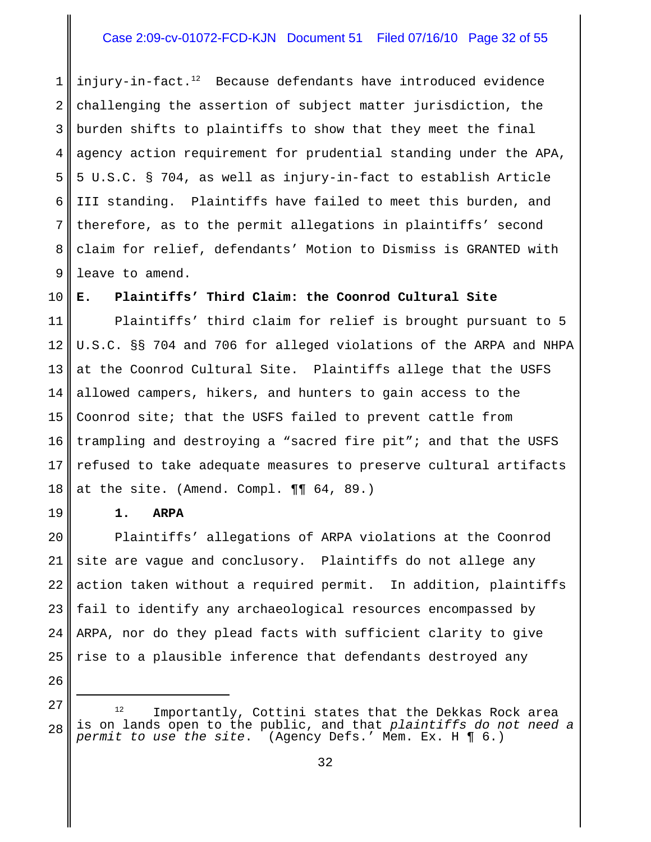# Case 2:09-cv-01072-FCD-KJN Document 51 Filed 07/16/10 Page 32 of 55

1 2 3 4 5 6 7 8 9 injury-in-fact. $12$  Because defendants have introduced evidence challenging the assertion of subject matter jurisdiction, the burden shifts to plaintiffs to show that they meet the final agency action requirement for prudential standing under the APA, 5 U.S.C. § 704, as well as injury-in-fact to establish Article III standing. Plaintiffs have failed to meet this burden, and therefore, as to the permit allegations in plaintiffs' second claim for relief, defendants' Motion to Dismiss is GRANTED with leave to amend.

10 **E. Plaintiffs' Third Claim: the Coonrod Cultural Site**

11 12 13 14 15 16 17 18 Plaintiffs' third claim for relief is brought pursuant to 5 U.S.C. §§ 704 and 706 for alleged violations of the ARPA and NHPA at the Coonrod Cultural Site. Plaintiffs allege that the USFS allowed campers, hikers, and hunters to gain access to the Coonrod site; that the USFS failed to prevent cattle from trampling and destroying a "sacred fire pit"; and that the USFS refused to take adequate measures to preserve cultural artifacts at the site. (Amend. Compl. ¶¶ 64, 89.)

**1. ARPA**

20 21 22 23 24 25 Plaintiffs' allegations of ARPA violations at the Coonrod site are vague and conclusory. Plaintiffs do not allege any action taken without a required permit. In addition, plaintiffs fail to identify any archaeological resources encompassed by ARPA, nor do they plead facts with sufficient clarity to give rise to a plausible inference that defendants destroyed any

26 27

28

Importantly, Cottini states that the Dekkas Rock area is on lands open to the public, and that *plaintiffs do not need a permit to use the site*. (Agency Defs.' Mem. Ex. H ¶ 6.)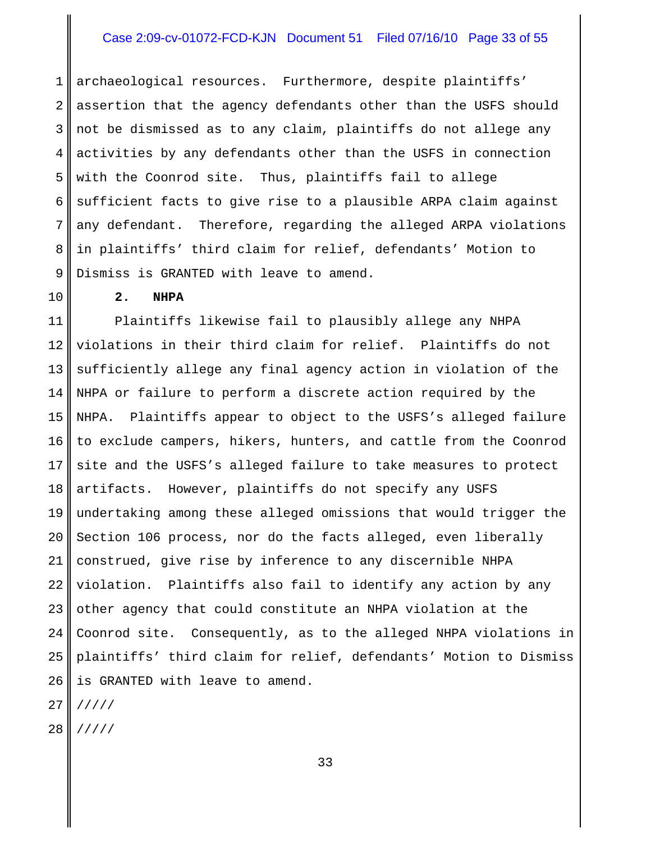# Case 2:09-cv-01072-FCD-KJN Document 51 Filed 07/16/10 Page 33 of 55

1 2 3 4 5 6 7 8 9 archaeological resources. Furthermore, despite plaintiffs' assertion that the agency defendants other than the USFS should not be dismissed as to any claim, plaintiffs do not allege any activities by any defendants other than the USFS in connection with the Coonrod site. Thus, plaintiffs fail to allege sufficient facts to give rise to a plausible ARPA claim against any defendant. Therefore, regarding the alleged ARPA violations in plaintiffs' third claim for relief, defendants' Motion to Dismiss is GRANTED with leave to amend.

10

#### **2. NHPA**

11 12 13 14 15 16 17 18 19 20 21 22 23 24 25 26 Plaintiffs likewise fail to plausibly allege any NHPA violations in their third claim for relief. Plaintiffs do not sufficiently allege any final agency action in violation of the NHPA or failure to perform a discrete action required by the NHPA. Plaintiffs appear to object to the USFS's alleged failure to exclude campers, hikers, hunters, and cattle from the Coonrod site and the USFS's alleged failure to take measures to protect artifacts. However, plaintiffs do not specify any USFS undertaking among these alleged omissions that would trigger the Section 106 process, nor do the facts alleged, even liberally construed, give rise by inference to any discernible NHPA violation. Plaintiffs also fail to identify any action by any other agency that could constitute an NHPA violation at the Coonrod site. Consequently, as to the alleged NHPA violations in plaintiffs' third claim for relief, defendants' Motion to Dismiss is GRANTED with leave to amend.

27 /////

28 /////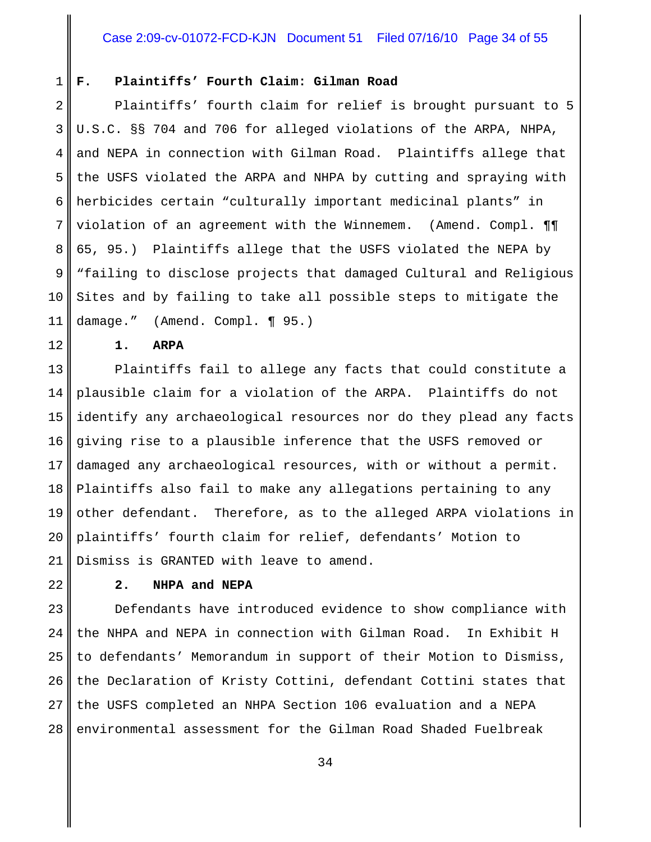#### 1 **F. Plaintiffs' Fourth Claim: Gilman Road**

2 3 4 5 6 7 8 9 10 11 Plaintiffs' fourth claim for relief is brought pursuant to 5 U.S.C. §§ 704 and 706 for alleged violations of the ARPA, NHPA, and NEPA in connection with Gilman Road. Plaintiffs allege that the USFS violated the ARPA and NHPA by cutting and spraying with herbicides certain "culturally important medicinal plants" in violation of an agreement with the Winnemem. (Amend. Compl. ¶¶ 65, 95.) Plaintiffs allege that the USFS violated the NEPA by "failing to disclose projects that damaged Cultural and Religious Sites and by failing to take all possible steps to mitigate the damage." (Amend. Compl. ¶ 95.)

#### **1. ARPA**

13 14 15 16 17 18 19 20 21 Plaintiffs fail to allege any facts that could constitute a plausible claim for a violation of the ARPA. Plaintiffs do not identify any archaeological resources nor do they plead any facts giving rise to a plausible inference that the USFS removed or damaged any archaeological resources, with or without a permit. Plaintiffs also fail to make any allegations pertaining to any other defendant. Therefore, as to the alleged ARPA violations in plaintiffs' fourth claim for relief, defendants' Motion to Dismiss is GRANTED with leave to amend.

22

12

# **2. NHPA and NEPA**

23 24 25 26 27 28 Defendants have introduced evidence to show compliance with the NHPA and NEPA in connection with Gilman Road. In Exhibit H to defendants' Memorandum in support of their Motion to Dismiss, the Declaration of Kristy Cottini, defendant Cottini states that the USFS completed an NHPA Section 106 evaluation and a NEPA environmental assessment for the Gilman Road Shaded Fuelbreak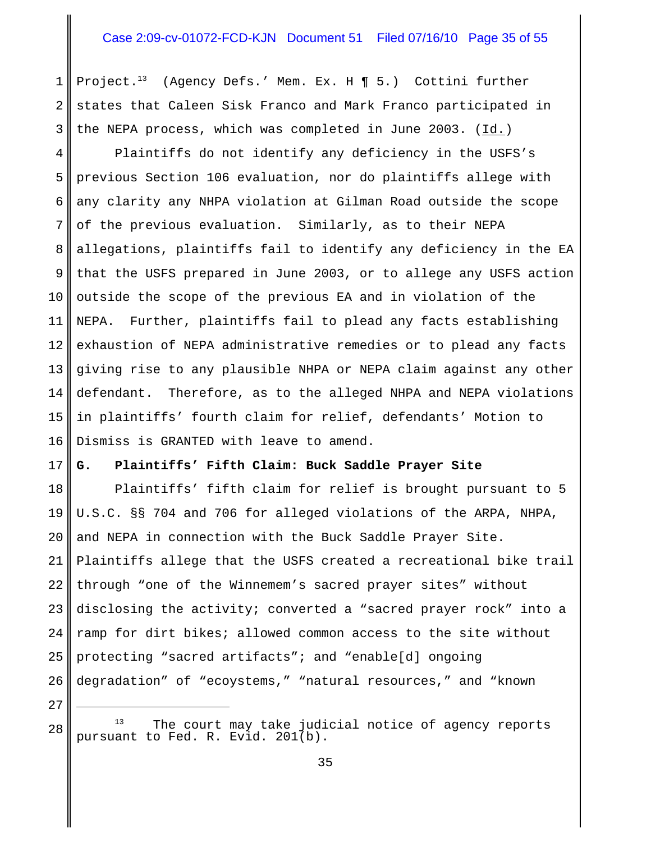#### Case 2:09-cv-01072-FCD-KJN Document 51 Filed 07/16/10 Page 35 of 55

1 2 3 Project.13 (Agency Defs.' Mem. Ex. H ¶ 5.) Cottini further states that Caleen Sisk Franco and Mark Franco participated in the NEPA process, which was completed in June 2003. (Id.)

4 5 6 7 8 9 10 11 12 13 14 15 16 Plaintiffs do not identify any deficiency in the USFS's previous Section 106 evaluation, nor do plaintiffs allege with any clarity any NHPA violation at Gilman Road outside the scope of the previous evaluation. Similarly, as to their NEPA allegations, plaintiffs fail to identify any deficiency in the EA that the USFS prepared in June 2003, or to allege any USFS action outside the scope of the previous EA and in violation of the NEPA. Further, plaintiffs fail to plead any facts establishing exhaustion of NEPA administrative remedies or to plead any facts giving rise to any plausible NHPA or NEPA claim against any other defendant. Therefore, as to the alleged NHPA and NEPA violations in plaintiffs' fourth claim for relief, defendants' Motion to Dismiss is GRANTED with leave to amend.

#### 17 **G. Plaintiffs' Fifth Claim: Buck Saddle Prayer Site**

18 19 20 21 22 23 24 25 26 Plaintiffs' fifth claim for relief is brought pursuant to 5 U.S.C. §§ 704 and 706 for alleged violations of the ARPA, NHPA, and NEPA in connection with the Buck Saddle Prayer Site. Plaintiffs allege that the USFS created a recreational bike trail through "one of the Winnemem's sacred prayer sites" without disclosing the activity; converted a "sacred prayer rock" into a ramp for dirt bikes; allowed common access to the site without protecting "sacred artifacts"; and "enable[d] ongoing degradation" of "ecoystems," "natural resources," and "known

 $13$  The court may take judicial notice of agency reports pursuant to Fed. R. Evid. 201(b).

27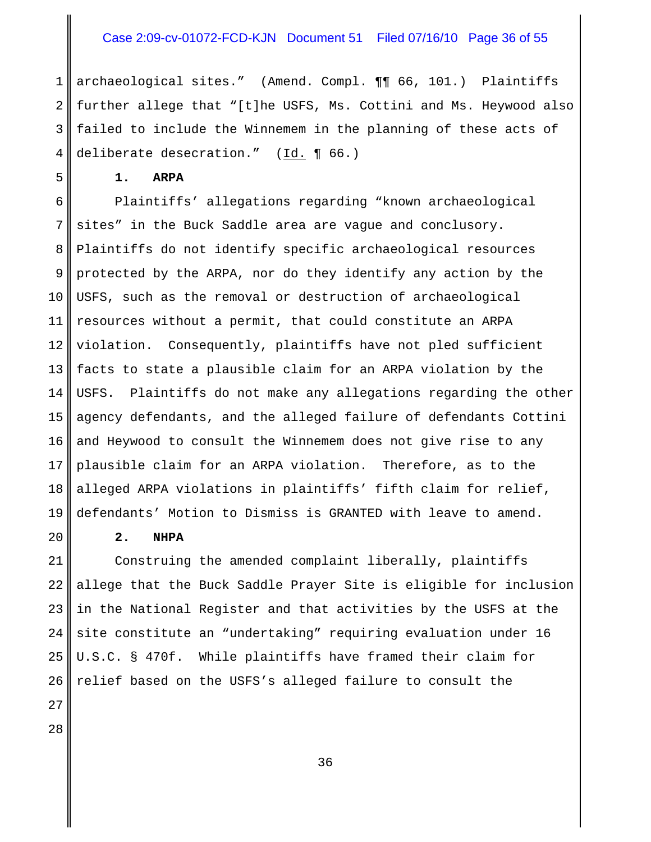# Case 2:09-cv-01072-FCD-KJN Document 51 Filed 07/16/10 Page 36 of 55

1 2 3 4 archaeological sites." (Amend. Compl. ¶¶ 66, 101.) Plaintiffs further allege that "[t]he USFS, Ms. Cottini and Ms. Heywood also failed to include the Winnemem in the planning of these acts of deliberate desecration." (Id. ¶ 66.)

**1. ARPA**

5

6 7 8 9 10 11 12 13 14 15 16 17 18 19 Plaintiffs' allegations regarding "known archaeological sites" in the Buck Saddle area are vague and conclusory. Plaintiffs do not identify specific archaeological resources protected by the ARPA, nor do they identify any action by the USFS, such as the removal or destruction of archaeological resources without a permit, that could constitute an ARPA violation. Consequently, plaintiffs have not pled sufficient facts to state a plausible claim for an ARPA violation by the USFS. Plaintiffs do not make any allegations regarding the other agency defendants, and the alleged failure of defendants Cottini and Heywood to consult the Winnemem does not give rise to any plausible claim for an ARPA violation. Therefore, as to the alleged ARPA violations in plaintiffs' fifth claim for relief, defendants' Motion to Dismiss is GRANTED with leave to amend.

#### **2. NHPA**

21 22 23 24 25 26 Construing the amended complaint liberally, plaintiffs allege that the Buck Saddle Prayer Site is eligible for inclusion in the National Register and that activities by the USFS at the site constitute an "undertaking" requiring evaluation under 16 U.S.C. § 470f. While plaintiffs have framed their claim for relief based on the USFS's alleged failure to consult the

28

27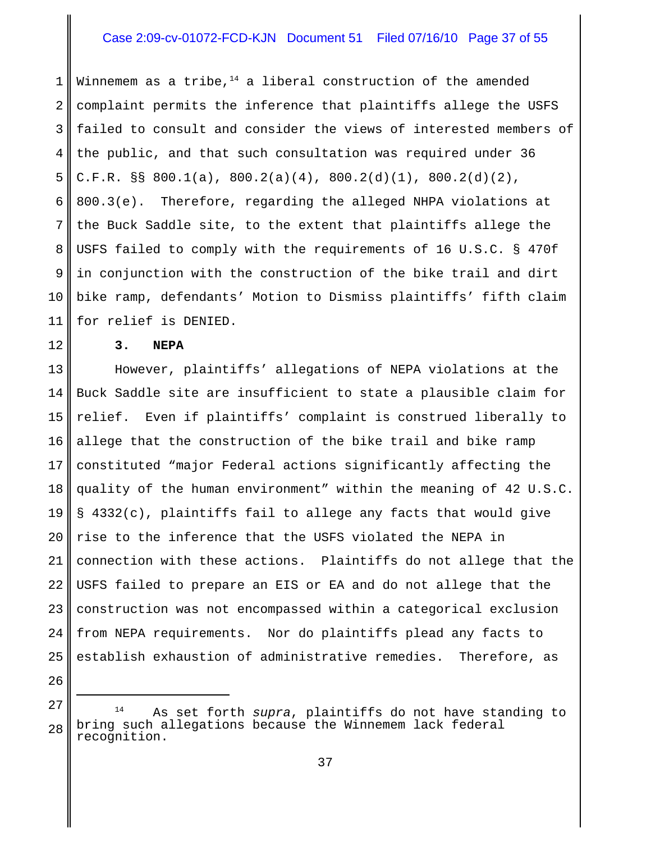# Case 2:09-cv-01072-FCD-KJN Document 51 Filed 07/16/10 Page 37 of 55

1 2 3 4 5 6 7 8 9 10 11 Winnemem as a tribe, $14$  a liberal construction of the amended complaint permits the inference that plaintiffs allege the USFS failed to consult and consider the views of interested members of the public, and that such consultation was required under 36 C.F.R. §§ 800.1(a), 800.2(a)(4), 800.2(d)(1), 800.2(d)(2), 800.3(e). Therefore, regarding the alleged NHPA violations at the Buck Saddle site, to the extent that plaintiffs allege the USFS failed to comply with the requirements of 16 U.S.C. § 470f in conjunction with the construction of the bike trail and dirt bike ramp, defendants' Motion to Dismiss plaintiffs' fifth claim for relief is DENIED.

**3. NEPA**

12

26

13 14 15 16 17 18 19 20 21 22 23 24 25 However, plaintiffs' allegations of NEPA violations at the Buck Saddle site are insufficient to state a plausible claim for relief. Even if plaintiffs' complaint is construed liberally to allege that the construction of the bike trail and bike ramp constituted "major Federal actions significantly affecting the quality of the human environment" within the meaning of 42 U.S.C. § 4332(c), plaintiffs fail to allege any facts that would give rise to the inference that the USFS violated the NEPA in connection with these actions. Plaintiffs do not allege that the USFS failed to prepare an EIS or EA and do not allege that the construction was not encompassed within a categorical exclusion from NEPA requirements. Nor do plaintiffs plead any facts to establish exhaustion of administrative remedies. Therefore, as

27 28 <sup>14</sup> As set forth *supra*, plaintiffs do not have standing to bring such allegations because the Winnemem lack federal recognition.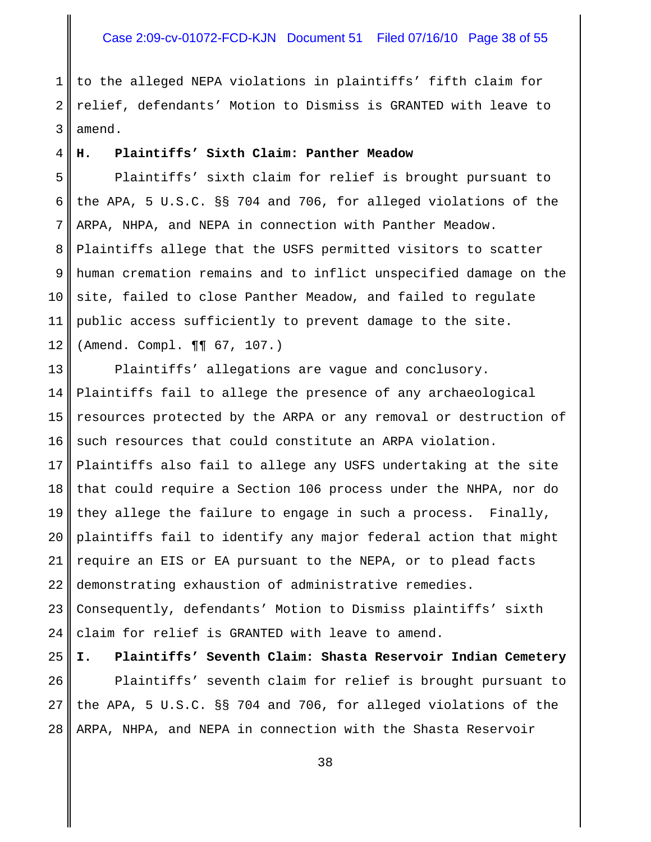### Case 2:09-cv-01072-FCD-KJN Document 51 Filed 07/16/10 Page 38 of 55

1 2 3 to the alleged NEPA violations in plaintiffs' fifth claim for relief, defendants' Motion to Dismiss is GRANTED with leave to amend.

#### **H. Plaintiffs' Sixth Claim: Panther Meadow**

4

5 6 7 8 9 10 11 12 Plaintiffs' sixth claim for relief is brought pursuant to the APA, 5 U.S.C. §§ 704 and 706, for alleged violations of the ARPA, NHPA, and NEPA in connection with Panther Meadow. Plaintiffs allege that the USFS permitted visitors to scatter human cremation remains and to inflict unspecified damage on the site, failed to close Panther Meadow, and failed to regulate public access sufficiently to prevent damage to the site. (Amend. Compl. ¶¶ 67, 107.)

13 14 15 16 17 18 19 20 21 22 23 24 25 Plaintiffs' allegations are vague and conclusory. Plaintiffs fail to allege the presence of any archaeological resources protected by the ARPA or any removal or destruction of such resources that could constitute an ARPA violation. Plaintiffs also fail to allege any USFS undertaking at the site that could require a Section 106 process under the NHPA, nor do they allege the failure to engage in such a process. Finally, plaintiffs fail to identify any major federal action that might require an EIS or EA pursuant to the NEPA, or to plead facts demonstrating exhaustion of administrative remedies. Consequently, defendants' Motion to Dismiss plaintiffs' sixth claim for relief is GRANTED with leave to amend. **I. Plaintiffs' Seventh Claim: Shasta Reservoir Indian Cemetery**

26 27 28 Plaintiffs' seventh claim for relief is brought pursuant to the APA, 5 U.S.C. §§ 704 and 706, for alleged violations of the ARPA, NHPA, and NEPA in connection with the Shasta Reservoir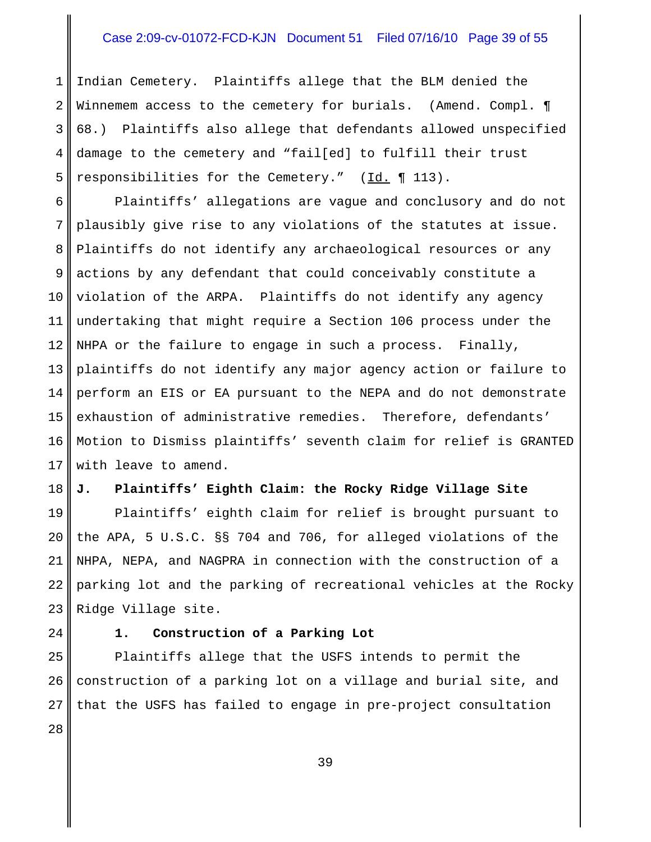# Case 2:09-cv-01072-FCD-KJN Document 51 Filed 07/16/10 Page 39 of 55

1 2 3 4 5 Indian Cemetery. Plaintiffs allege that the BLM denied the Winnemem access to the cemetery for burials. (Amend. Compl.  $\P$ 68.) Plaintiffs also allege that defendants allowed unspecified damage to the cemetery and "fail[ed] to fulfill their trust responsibilities for the Cemetery." (Id. 113).

6 7 8 9 10 11 12 13 14 15 16 17 Plaintiffs' allegations are vague and conclusory and do not plausibly give rise to any violations of the statutes at issue. Plaintiffs do not identify any archaeological resources or any actions by any defendant that could conceivably constitute a violation of the ARPA. Plaintiffs do not identify any agency undertaking that might require a Section 106 process under the NHPA or the failure to engage in such a process. Finally, plaintiffs do not identify any major agency action or failure to perform an EIS or EA pursuant to the NEPA and do not demonstrate exhaustion of administrative remedies. Therefore, defendants' Motion to Dismiss plaintiffs' seventh claim for relief is GRANTED with leave to amend.

#### 18 **J. Plaintiffs' Eighth Claim: the Rocky Ridge Village Site**

19 20 21 22 23 Plaintiffs' eighth claim for relief is brought pursuant to the APA, 5 U.S.C. §§ 704 and 706, for alleged violations of the NHPA, NEPA, and NAGPRA in connection with the construction of a parking lot and the parking of recreational vehicles at the Rocky Ridge Village site.

24

#### **1. Construction of a Parking Lot**

25 26 27 Plaintiffs allege that the USFS intends to permit the construction of a parking lot on a village and burial site, and that the USFS has failed to engage in pre-project consultation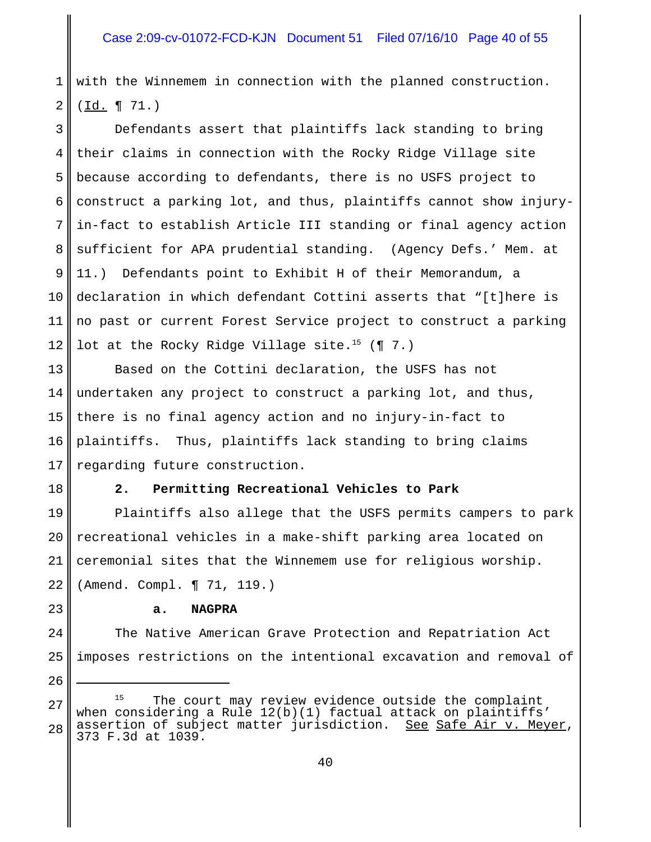1 2 with the Winnemem in connection with the planned construction. (Id. ¶ 71.)

3 4 5 6 7 8 9 10 11 12 Defendants assert that plaintiffs lack standing to bring their claims in connection with the Rocky Ridge Village site because according to defendants, there is no USFS project to construct a parking lot, and thus, plaintiffs cannot show injuryin-fact to establish Article III standing or final agency action sufficient for APA prudential standing. (Agency Defs.' Mem. at 11.) Defendants point to Exhibit H of their Memorandum, a declaration in which defendant Cottini asserts that "[t]here is no past or current Forest Service project to construct a parking lot at the Rocky Ridge Village site.<sup>15</sup> (¶ 7.)

13 14 15 16 17 Based on the Cottini declaration, the USFS has not undertaken any project to construct a parking lot, and thus, there is no final agency action and no injury-in-fact to plaintiffs. Thus, plaintiffs lack standing to bring claims regarding future construction.

18

23

24

25

26

#### **2. Permitting Recreational Vehicles to Park**

19 20 21 22 Plaintiffs also allege that the USFS permits campers to park recreational vehicles in a make-shift parking area located on ceremonial sites that the Winnemem use for religious worship. (Amend. Compl. ¶ 71, 119.)

#### **a. NAGPRA**

The Native American Grave Protection and Repatriation Act imposes restrictions on the intentional excavation and removal of

27 28 <sup>15</sup> The court may review evidence outside the complaint when considering a Rule 12(b)(1) factual attack on plaintiffs'<br>assertion of subject matter jurisdiction. See Safe Air v. Meyer, assertion of subject matter jurisdiction.<br>373 F.3d at 1039.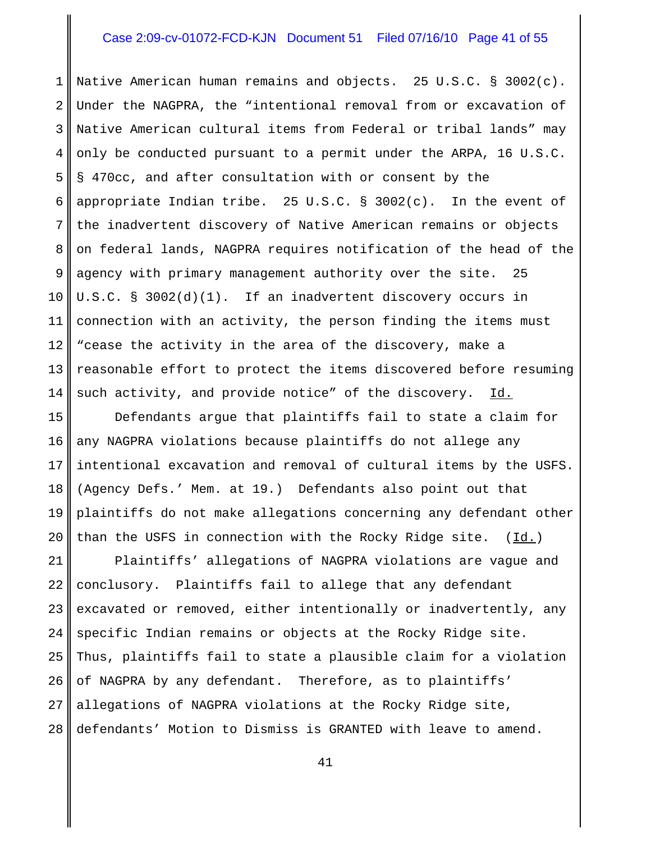### Case 2:09-cv-01072-FCD-KJN Document 51 Filed 07/16/10 Page 41 of 55

1 2 3 4 5 6 7 8 9 10 11 12 13 14 Native American human remains and objects. 25 U.S.C. § 3002(c). Under the NAGPRA, the "intentional removal from or excavation of Native American cultural items from Federal or tribal lands" may only be conducted pursuant to a permit under the ARPA, 16 U.S.C. § 470cc, and after consultation with or consent by the appropriate Indian tribe. 25 U.S.C. § 3002(c). In the event of the inadvertent discovery of Native American remains or objects on federal lands, NAGPRA requires notification of the head of the agency with primary management authority over the site. 25 U.S.C. § 3002(d)(1). If an inadvertent discovery occurs in connection with an activity, the person finding the items must "cease the activity in the area of the discovery, make a reasonable effort to protect the items discovered before resuming such activity, and provide notice" of the discovery. Id.

15 16 17 18 19 20 Defendants argue that plaintiffs fail to state a claim for any NAGPRA violations because plaintiffs do not allege any intentional excavation and removal of cultural items by the USFS. (Agency Defs.' Mem. at 19.) Defendants also point out that plaintiffs do not make allegations concerning any defendant other than the USFS in connection with the Rocky Ridge site.  $(\underline{Id.})$ 

21 22 23 24 25 26 27 28 Plaintiffs' allegations of NAGPRA violations are vague and conclusory. Plaintiffs fail to allege that any defendant excavated or removed, either intentionally or inadvertently, any specific Indian remains or objects at the Rocky Ridge site. Thus, plaintiffs fail to state a plausible claim for a violation of NAGPRA by any defendant. Therefore, as to plaintiffs' allegations of NAGPRA violations at the Rocky Ridge site, defendants' Motion to Dismiss is GRANTED with leave to amend.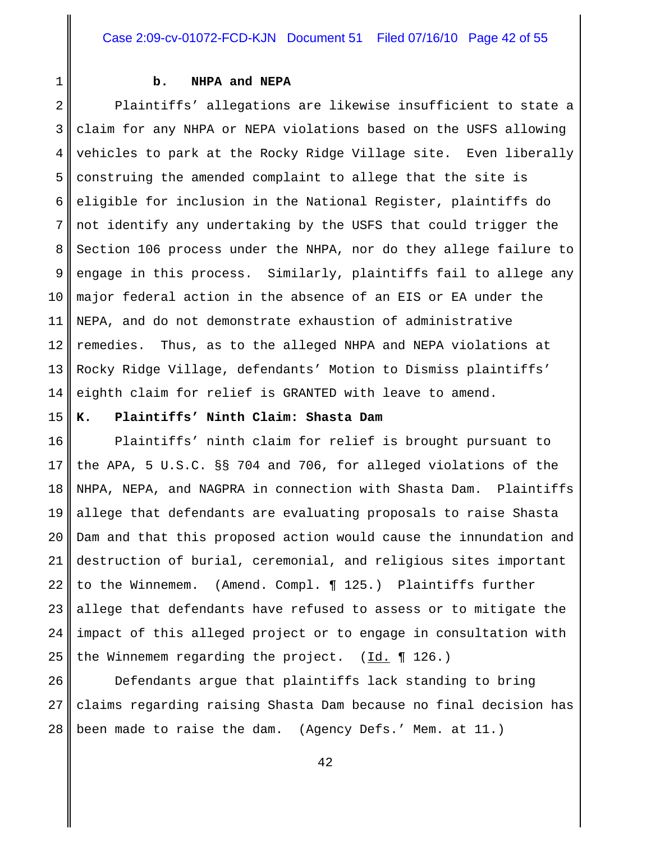#### **b. NHPA and NEPA**

2 3 4 5 6 7 8 9 10 11 12 13 14 Plaintiffs' allegations are likewise insufficient to state a claim for any NHPA or NEPA violations based on the USFS allowing vehicles to park at the Rocky Ridge Village site. Even liberally construing the amended complaint to allege that the site is eligible for inclusion in the National Register, plaintiffs do not identify any undertaking by the USFS that could trigger the Section 106 process under the NHPA, nor do they allege failure to engage in this process. Similarly, plaintiffs fail to allege any major federal action in the absence of an EIS or EA under the NEPA, and do not demonstrate exhaustion of administrative remedies. Thus, as to the alleged NHPA and NEPA violations at Rocky Ridge Village, defendants' Motion to Dismiss plaintiffs' eighth claim for relief is GRANTED with leave to amend.

# 15

1

#### **K. Plaintiffs' Ninth Claim: Shasta Dam**

16 17 18 19 20 21 22 23 24 25 Plaintiffs' ninth claim for relief is brought pursuant to the APA, 5 U.S.C. §§ 704 and 706, for alleged violations of the NHPA, NEPA, and NAGPRA in connection with Shasta Dam. Plaintiffs allege that defendants are evaluating proposals to raise Shasta Dam and that this proposed action would cause the innundation and destruction of burial, ceremonial, and religious sites important to the Winnemem. (Amend. Compl. ¶ 125.) Plaintiffs further allege that defendants have refused to assess or to mitigate the impact of this alleged project or to engage in consultation with the Winnemem regarding the project.  $(\underline{Id.} \P 126.)$ 

26 27 28 Defendants argue that plaintiffs lack standing to bring claims regarding raising Shasta Dam because no final decision has been made to raise the dam. (Agency Defs.' Mem. at 11.)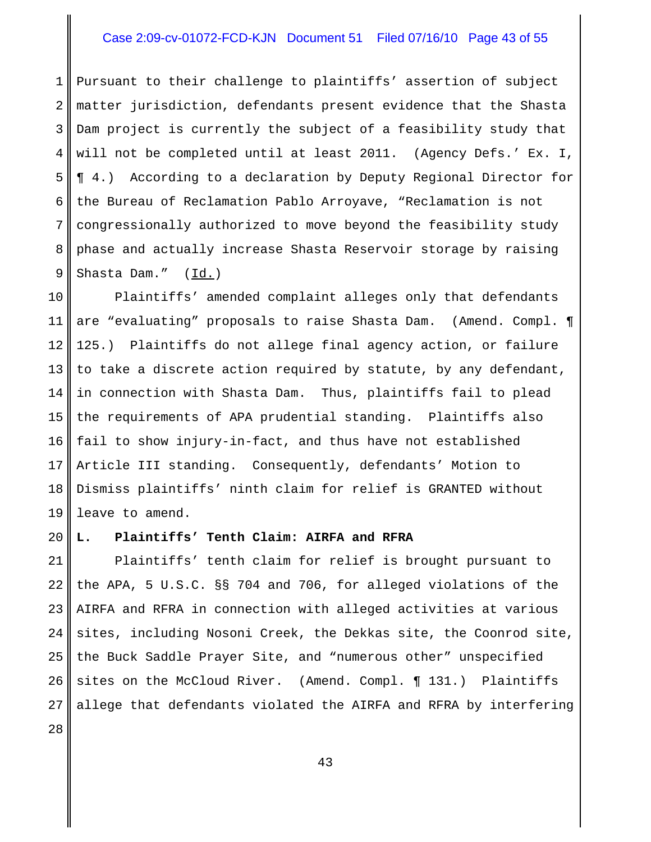# Case 2:09-cv-01072-FCD-KJN Document 51 Filed 07/16/10 Page 43 of 55

1 2 3 4 5 6 7 8 9 Pursuant to their challenge to plaintiffs' assertion of subject matter jurisdiction, defendants present evidence that the Shasta Dam project is currently the subject of a feasibility study that will not be completed until at least 2011. (Agency Defs.' Ex. I, ¶ 4.) According to a declaration by Deputy Regional Director for the Bureau of Reclamation Pablo Arroyave, "Reclamation is not congressionally authorized to move beyond the feasibility study phase and actually increase Shasta Reservoir storage by raising Shasta Dam." (Id.)

10 11 12 13 14 15 16 17 18 19 Plaintiffs' amended complaint alleges only that defendants are "evaluating" proposals to raise Shasta Dam. (Amend. Compl. ¶ 125.) Plaintiffs do not allege final agency action, or failure to take a discrete action required by statute, by any defendant, in connection with Shasta Dam. Thus, plaintiffs fail to plead the requirements of APA prudential standing. Plaintiffs also fail to show injury-in-fact, and thus have not established Article III standing. Consequently, defendants' Motion to Dismiss plaintiffs' ninth claim for relief is GRANTED without leave to amend.

#### 20 **L. Plaintiffs' Tenth Claim: AIRFA and RFRA**

21 22 23 24 25 26 27 Plaintiffs' tenth claim for relief is brought pursuant to the APA, 5 U.S.C. §§ 704 and 706, for alleged violations of the AIRFA and RFRA in connection with alleged activities at various sites, including Nosoni Creek, the Dekkas site, the Coonrod site, the Buck Saddle Prayer Site, and "numerous other" unspecified sites on the McCloud River. (Amend. Compl. ¶ 131.) Plaintiffs allege that defendants violated the AIRFA and RFRA by interfering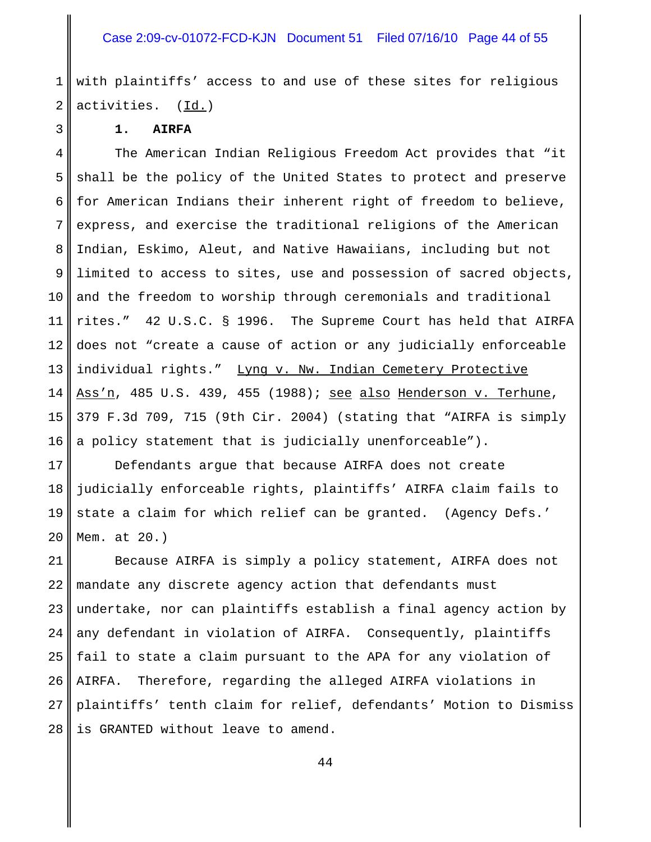1 2 with plaintiffs' access to and use of these sites for religious activities. (Id.)

**1. AIRFA**

3

4 5 6 7 8 9 10 11 12 13 14 15 16 The American Indian Religious Freedom Act provides that "it shall be the policy of the United States to protect and preserve for American Indians their inherent right of freedom to believe, express, and exercise the traditional religions of the American Indian, Eskimo, Aleut, and Native Hawaiians, including but not limited to access to sites, use and possession of sacred objects, and the freedom to worship through ceremonials and traditional rites." 42 U.S.C. § 1996. The Supreme Court has held that AIRFA does not "create a cause of action or any judicially enforceable individual rights." Lyng v. Nw. Indian Cemetery Protective Ass'n, 485 U.S. 439, 455 (1988); see also Henderson v. Terhune, 379 F.3d 709, 715 (9th Cir. 2004) (stating that "AIRFA is simply a policy statement that is judicially unenforceable").

17 18 19 20 Defendants argue that because AIRFA does not create judicially enforceable rights, plaintiffs' AIRFA claim fails to state a claim for which relief can be granted. (Agency Defs.' Mem. at 20.)

21 22 23 24 25 26 27 28 Because AIRFA is simply a policy statement, AIRFA does not mandate any discrete agency action that defendants must undertake, nor can plaintiffs establish a final agency action by any defendant in violation of AIRFA. Consequently, plaintiffs fail to state a claim pursuant to the APA for any violation of AIRFA. Therefore, regarding the alleged AIRFA violations in plaintiffs' tenth claim for relief, defendants' Motion to Dismiss is GRANTED without leave to amend.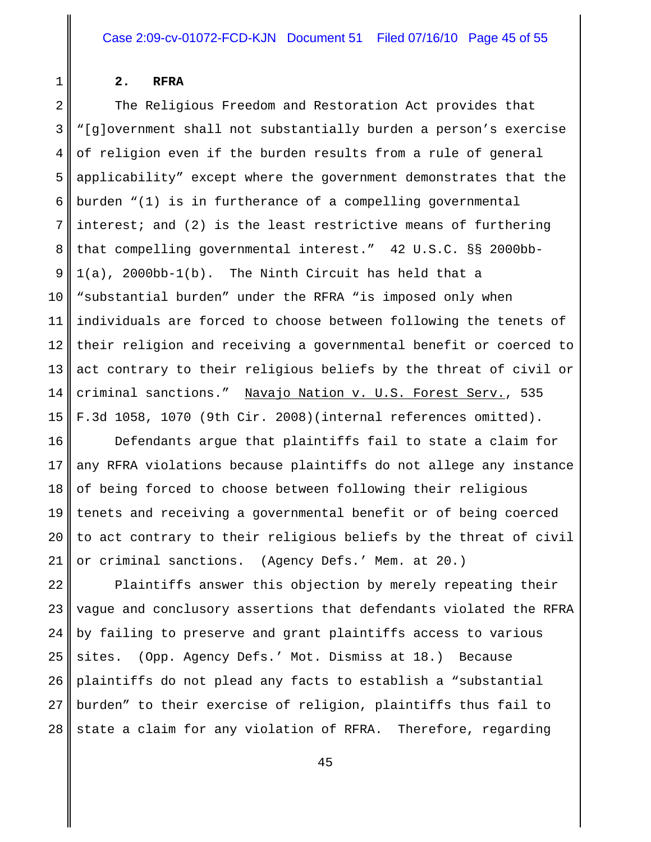# 1

#### **2. RFRA**

2 3 4 5 6 7 8 9 10 11 12 13 14 15 The Religious Freedom and Restoration Act provides that "[g]overnment shall not substantially burden a person's exercise of religion even if the burden results from a rule of general applicability" except where the government demonstrates that the burden "(1) is in furtherance of a compelling governmental interest; and (2) is the least restrictive means of furthering that compelling governmental interest." 42 U.S.C. §§ 2000bb-1(a), 2000bb-1(b). The Ninth Circuit has held that a "substantial burden" under the RFRA "is imposed only when individuals are forced to choose between following the tenets of their religion and receiving a governmental benefit or coerced to act contrary to their religious beliefs by the threat of civil or criminal sanctions." Navajo Nation v. U.S. Forest Serv., 535 F.3d 1058, 1070 (9th Cir. 2008)(internal references omitted).

16 17 18 19 20 21 Defendants argue that plaintiffs fail to state a claim for any RFRA violations because plaintiffs do not allege any instance of being forced to choose between following their religious tenets and receiving a governmental benefit or of being coerced to act contrary to their religious beliefs by the threat of civil or criminal sanctions. (Agency Defs.' Mem. at 20.)

22 23 24 25 26 27 28 Plaintiffs answer this objection by merely repeating their vague and conclusory assertions that defendants violated the RFRA by failing to preserve and grant plaintiffs access to various sites. (Opp. Agency Defs.' Mot. Dismiss at 18.) Because plaintiffs do not plead any facts to establish a "substantial burden" to their exercise of religion, plaintiffs thus fail to state a claim for any violation of RFRA. Therefore, regarding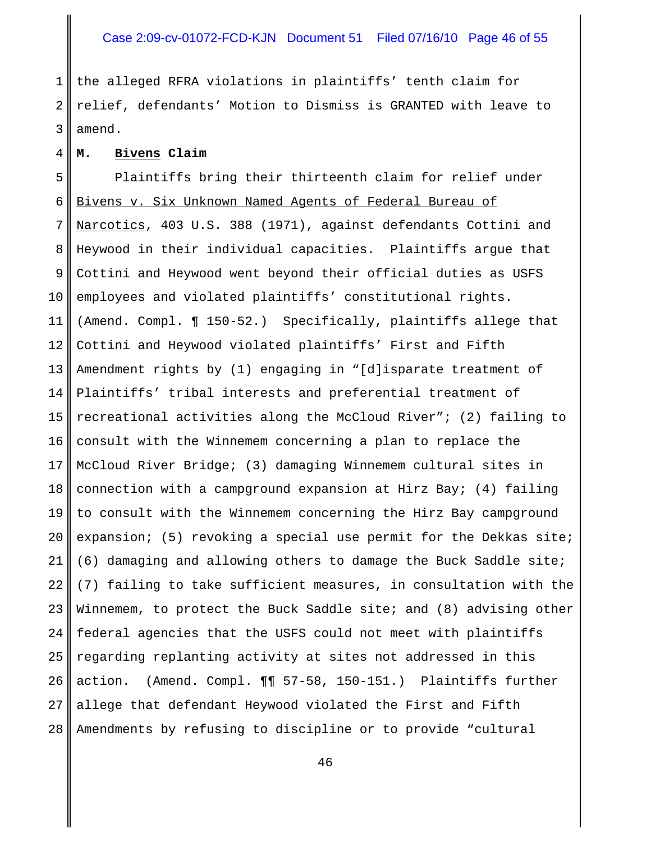# Case 2:09-cv-01072-FCD-KJN Document 51 Filed 07/16/10 Page 46 of 55

1 2 3 the alleged RFRA violations in plaintiffs' tenth claim for relief, defendants' Motion to Dismiss is GRANTED with leave to amend.

#### **M. Bivens Claim**

4

5 6 7 8 9 10 11 12 13 14 15 16 17 18 19 20 21 22 23 24 25 26 27 28 Plaintiffs bring their thirteenth claim for relief under Bivens v. Six Unknown Named Agents of Federal Bureau of Narcotics, 403 U.S. 388 (1971), against defendants Cottini and Heywood in their individual capacities. Plaintiffs argue that Cottini and Heywood went beyond their official duties as USFS employees and violated plaintiffs' constitutional rights. (Amend. Compl. ¶ 150-52.) Specifically, plaintiffs allege that Cottini and Heywood violated plaintiffs' First and Fifth Amendment rights by (1) engaging in "[d]isparate treatment of Plaintiffs' tribal interests and preferential treatment of recreational activities along the McCloud River"; (2) failing to consult with the Winnemem concerning a plan to replace the McCloud River Bridge; (3) damaging Winnemem cultural sites in connection with a campground expansion at Hirz Bay; (4) failing to consult with the Winnemem concerning the Hirz Bay campground expansion; (5) revoking a special use permit for the Dekkas site; (6) damaging and allowing others to damage the Buck Saddle site; (7) failing to take sufficient measures, in consultation with the Winnemem, to protect the Buck Saddle site; and (8) advising other federal agencies that the USFS could not meet with plaintiffs regarding replanting activity at sites not addressed in this action. (Amend. Compl. ¶¶ 57-58, 150-151.) Plaintiffs further allege that defendant Heywood violated the First and Fifth Amendments by refusing to discipline or to provide "cultural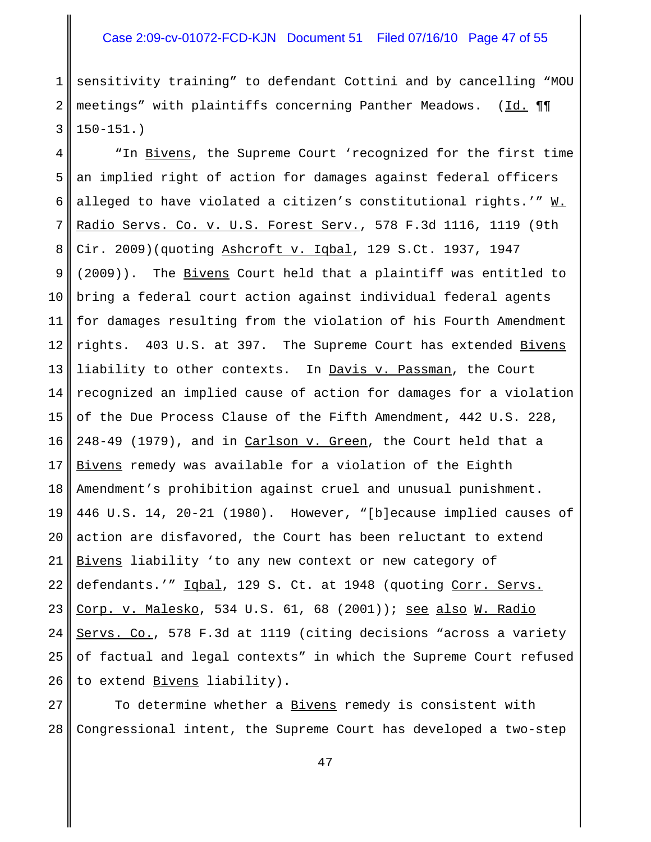# Case 2:09-cv-01072-FCD-KJN Document 51 Filed 07/16/10 Page 47 of 55

1 2 3 sensitivity training" to defendant Cottini and by cancelling "MOU meetings" with plaintiffs concerning Panther Meadows. (Id. ¶¶ 150-151.)

4 5 6 7 8 9 10 11 12 13 14 15 16 17 18 19 20 21 22 23 24 25 26 "In Bivens, the Supreme Court 'recognized for the first time an implied right of action for damages against federal officers alleged to have violated a citizen's constitutional rights.'"  $\underline{W.}$ Radio Servs. Co. v. U.S. Forest Serv., 578 F.3d 1116, 1119 (9th Cir. 2009)(quoting Ashcroft v. Iqbal, 129 S.Ct. 1937, 1947 (2009)). The Bivens Court held that a plaintiff was entitled to bring a federal court action against individual federal agents for damages resulting from the violation of his Fourth Amendment rights. 403 U.S. at 397. The Supreme Court has extended Bivens liability to other contexts. In Davis v. Passman, the Court recognized an implied cause of action for damages for a violation of the Due Process Clause of the Fifth Amendment, 442 U.S. 228, 248-49 (1979), and in Carlson v. Green, the Court held that a Bivens remedy was available for a violation of the Eighth Amendment's prohibition against cruel and unusual punishment. 446 U.S. 14, 20-21 (1980). However, "[b]ecause implied causes of action are disfavored, the Court has been reluctant to extend Bivens liability 'to any new context or new category of defendants.'" Iqbal, 129 S. Ct. at 1948 (quoting Corr. Servs. Corp. v. Malesko, 534 U.S. 61, 68 (2001)); see also W. Radio Servs. Co., 578 F.3d at 1119 (citing decisions "across a variety of factual and legal contexts" in which the Supreme Court refused to extend Bivens liability).

27 28 To determine whether a Bivens remedy is consistent with Congressional intent, the Supreme Court has developed a two-step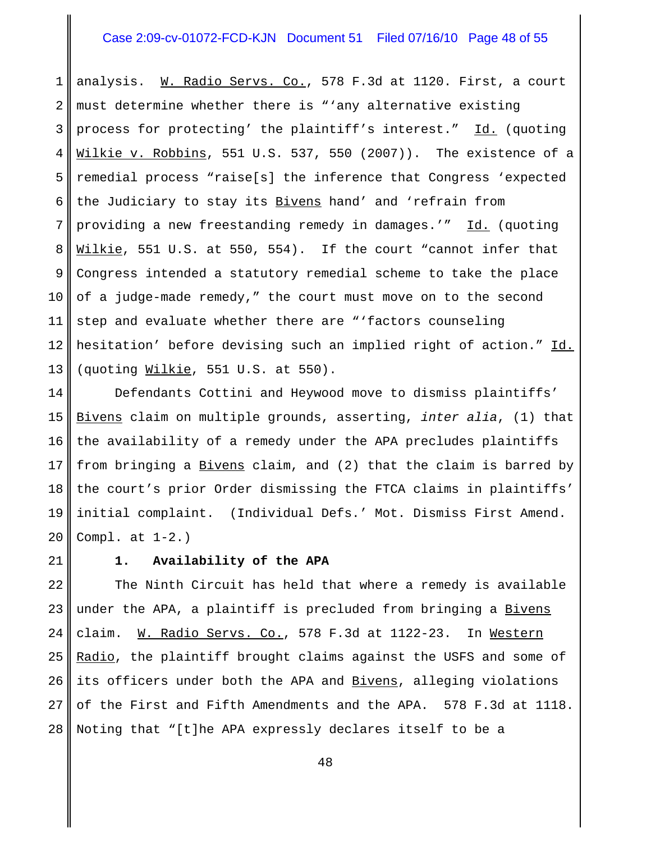# Case 2:09-cv-01072-FCD-KJN Document 51 Filed 07/16/10 Page 48 of 55

1 2 3 4 5 6 7 8 9 10 11 12 13 analysis. W. Radio Servs. Co., 578 F.3d at 1120. First, a court must determine whether there is "'any alternative existing process for protecting' the plaintiff's interest." Id. (quoting Wilkie v. Robbins, 551 U.S. 537, 550 (2007)). The existence of a remedial process "raise[s] the inference that Congress 'expected the Judiciary to stay its Bivens hand' and 'refrain from providing a new freestanding remedy in damages.'" Id. (quoting Wilkie, 551 U.S. at 550, 554). If the court "cannot infer that Congress intended a statutory remedial scheme to take the place of a judge-made remedy," the court must move on to the second step and evaluate whether there are "'factors counseling hesitation' before devising such an implied right of action." Id. (quoting Wilkie, 551 U.S. at 550).

14 15 16 17 18 19 20 Defendants Cottini and Heywood move to dismiss plaintiffs' Bivens claim on multiple grounds, asserting, *inter alia*, (1) that the availability of a remedy under the APA precludes plaintiffs from bringing a Bivens claim, and (2) that the claim is barred by the court's prior Order dismissing the FTCA claims in plaintiffs' initial complaint. (Individual Defs.' Mot. Dismiss First Amend. Compl. at 1-2.)

21

#### **1. Availability of the APA**

22 23 24 25 26 27 28 The Ninth Circuit has held that where a remedy is available under the APA, a plaintiff is precluded from bringing a Bivens claim. W. Radio Servs. Co., 578 F.3d at 1122-23. In Western Radio, the plaintiff brought claims against the USFS and some of its officers under both the APA and Bivens, alleging violations of the First and Fifth Amendments and the APA. 578 F.3d at 1118. Noting that "[t]he APA expressly declares itself to be a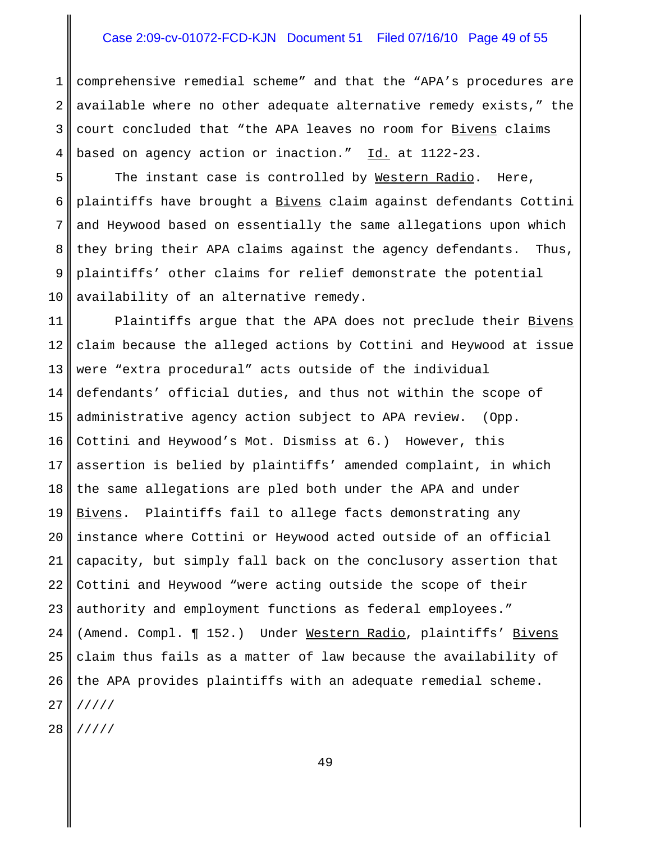# Case 2:09-cv-01072-FCD-KJN Document 51 Filed 07/16/10 Page 49 of 55

1 2 3 4 comprehensive remedial scheme" and that the "APA's procedures are available where no other adequate alternative remedy exists," the court concluded that "the APA leaves no room for Bivens claims based on agency action or inaction." Id. at 1122-23.

5 6 7 8 9 10 The instant case is controlled by Western Radio. Here, plaintiffs have brought a **Bivens** claim against defendants Cottini and Heywood based on essentially the same allegations upon which they bring their APA claims against the agency defendants. Thus, plaintiffs' other claims for relief demonstrate the potential availability of an alternative remedy.

11 12 13 14 15 16 17 18 19 20 21 22 23 24 25 26 27 28 Plaintiffs argue that the APA does not preclude their Bivens claim because the alleged actions by Cottini and Heywood at issue were "extra procedural" acts outside of the individual defendants' official duties, and thus not within the scope of administrative agency action subject to APA review. (Opp. Cottini and Heywood's Mot. Dismiss at 6.) However, this assertion is belied by plaintiffs' amended complaint, in which the same allegations are pled both under the APA and under Bivens. Plaintiffs fail to allege facts demonstrating any instance where Cottini or Heywood acted outside of an official capacity, but simply fall back on the conclusory assertion that Cottini and Heywood "were acting outside the scope of their authority and employment functions as federal employees." (Amend. Compl. 152.) Under Western Radio, plaintiffs' Bivens claim thus fails as a matter of law because the availability of the APA provides plaintiffs with an adequate remedial scheme. ///// /////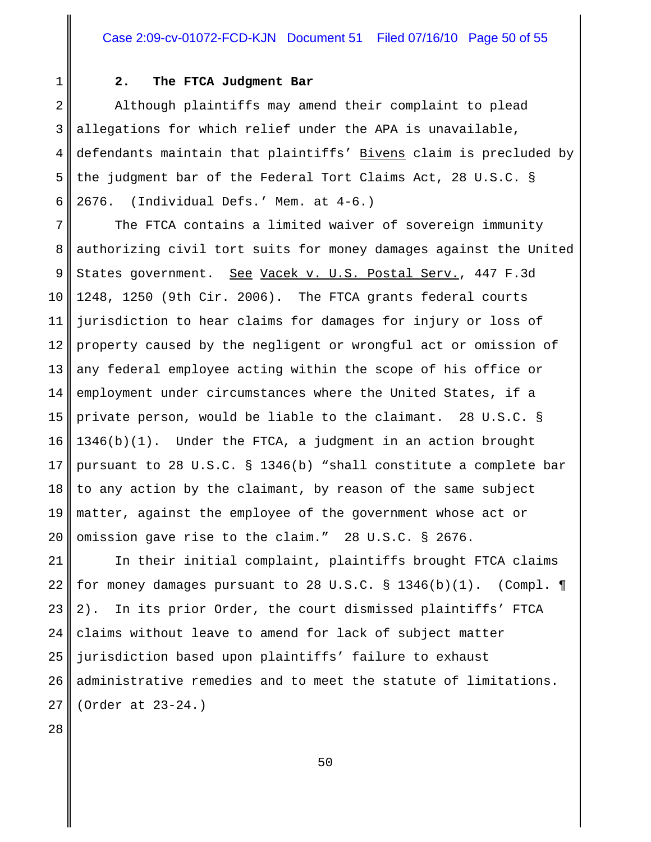#### **2. The FTCA Judgment Bar**

2 3 4 5 6 Although plaintiffs may amend their complaint to plead allegations for which relief under the APA is unavailable, defendants maintain that plaintiffs' Bivens claim is precluded by the judgment bar of the Federal Tort Claims Act, 28 U.S.C. § 2676. (Individual Defs.' Mem. at 4-6.)

7 8 9 10 11 12 13 14 15 16 17 18 19 20 The FTCA contains a limited waiver of sovereign immunity authorizing civil tort suits for money damages against the United States government. See Vacek v. U.S. Postal Serv., 447 F.3d 1248, 1250 (9th Cir. 2006). The FTCA grants federal courts jurisdiction to hear claims for damages for injury or loss of property caused by the negligent or wrongful act or omission of any federal employee acting within the scope of his office or employment under circumstances where the United States, if a private person, would be liable to the claimant. 28 U.S.C. § 1346(b)(1). Under the FTCA, a judgment in an action brought pursuant to 28 U.S.C. § 1346(b) "shall constitute a complete bar to any action by the claimant, by reason of the same subject matter, against the employee of the government whose act or omission gave rise to the claim." 28 U.S.C. § 2676.

21 22 23 24 25 26 27 In their initial complaint, plaintiffs brought FTCA claims for money damages pursuant to 28 U.S.C.  $\S$  1346(b)(1). (Compl. ¶ 2). In its prior Order, the court dismissed plaintiffs' FTCA claims without leave to amend for lack of subject matter jurisdiction based upon plaintiffs' failure to exhaust administrative remedies and to meet the statute of limitations. (Order at 23-24.)

28

1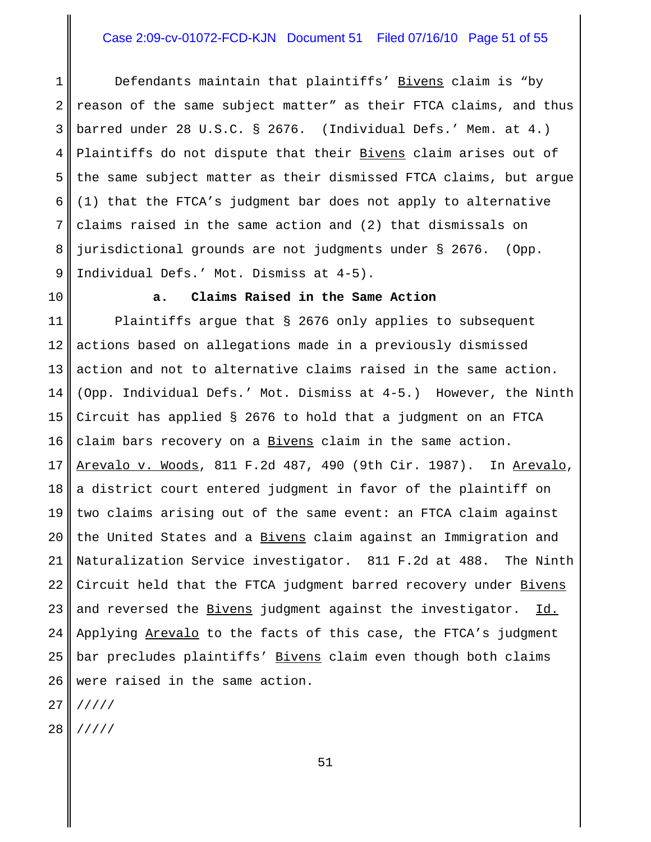# Case 2:09-cv-01072-FCD-KJN Document 51 Filed 07/16/10 Page 51 of 55

1 2 3 4 5 6 7 8 9 Defendants maintain that plaintiffs' Bivens claim is "by reason of the same subject matter" as their FTCA claims, and thus barred under 28 U.S.C. § 2676. (Individual Defs.' Mem. at 4.) Plaintiffs do not dispute that their Bivens claim arises out of the same subject matter as their dismissed FTCA claims, but argue (1) that the FTCA's judgment bar does not apply to alternative claims raised in the same action and (2) that dismissals on jurisdictional grounds are not judgments under § 2676. (Opp. Individual Defs.' Mot. Dismiss at 4-5).

10

#### **a. Claims Raised in the Same Action**

11 12 13 14 15 16 17 18 19 20 21 22 23 24 25 26 Plaintiffs argue that § 2676 only applies to subsequent actions based on allegations made in a previously dismissed action and not to alternative claims raised in the same action. (Opp. Individual Defs.' Mot. Dismiss at 4-5.) However, the Ninth Circuit has applied § 2676 to hold that a judgment on an FTCA claim bars recovery on a Bivens claim in the same action. Arevalo v. Woods, 811 F.2d 487, 490 (9th Cir. 1987). In Arevalo, a district court entered judgment in favor of the plaintiff on two claims arising out of the same event: an FTCA claim against the United States and a Bivens claim against an Immigration and Naturalization Service investigator. 811 F.2d at 488. The Ninth Circuit held that the FTCA judgment barred recovery under Bivens and reversed the Bivens judgment against the investigator. Id. Applying Arevalo to the facts of this case, the FTCA's judgment bar precludes plaintiffs' Bivens claim even though both claims were raised in the same action.

27 /////

28 /////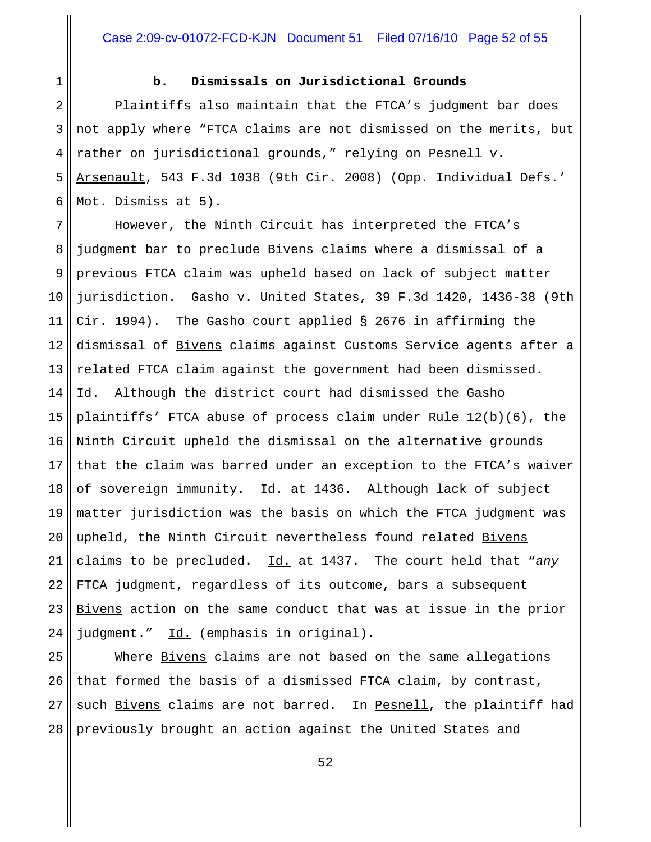# 1

# **b. Dismissals on Jurisdictional Grounds**

2 3 4 5 6 Plaintiffs also maintain that the FTCA's judgment bar does not apply where "FTCA claims are not dismissed on the merits, but rather on jurisdictional grounds," relying on Pesnell v. Arsenault, 543 F.3d 1038 (9th Cir. 2008) (Opp. Individual Defs.' Mot. Dismiss at 5).

7 8 9 10 11 12 13 14 15 16 17 18 19 20 21 22 23 24 However, the Ninth Circuit has interpreted the FTCA's judgment bar to preclude Bivens claims where a dismissal of a previous FTCA claim was upheld based on lack of subject matter jurisdiction. Gasho v. United States, 39 F.3d 1420, 1436-38 (9th Cir. 1994). The Gasho court applied § 2676 in affirming the dismissal of Bivens claims against Customs Service agents after a related FTCA claim against the government had been dismissed. Id. Although the district court had dismissed the Gasho plaintiffs' FTCA abuse of process claim under Rule 12(b)(6), the Ninth Circuit upheld the dismissal on the alternative grounds that the claim was barred under an exception to the FTCA's waiver of sovereign immunity. Id. at 1436. Although lack of subject matter jurisdiction was the basis on which the FTCA judgment was upheld, the Ninth Circuit nevertheless found related Bivens claims to be precluded. Id. at 1437. The court held that "*any* FTCA judgment, regardless of its outcome, bars a subsequent Bivens action on the same conduct that was at issue in the prior judgment." Id. (emphasis in original).

25 26 27 28 Where Bivens claims are not based on the same allegations that formed the basis of a dismissed FTCA claim, by contrast, such Bivens claims are not barred. In Pesnell, the plaintiff had previously brought an action against the United States and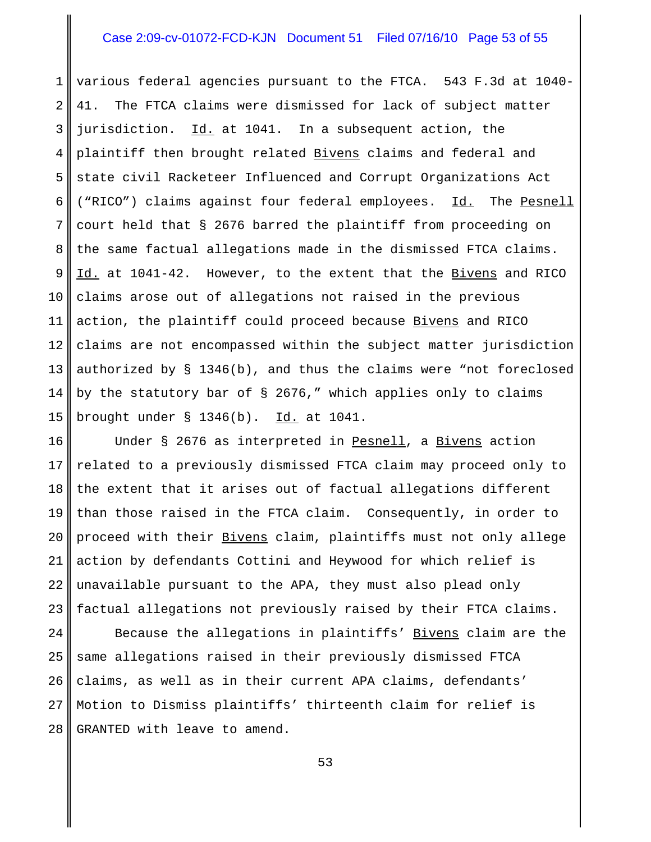### Case 2:09-cv-01072-FCD-KJN Document 51 Filed 07/16/10 Page 53 of 55

1 2 3 4 5 6 7 8 9 10 11 12 13 14 15 various federal agencies pursuant to the FTCA. 543 F.3d at 1040- 41. The FTCA claims were dismissed for lack of subject matter jurisdiction. Id. at 1041. In a subsequent action, the plaintiff then brought related Bivens claims and federal and state civil Racketeer Influenced and Corrupt Organizations Act ("RICO") claims against four federal employees. Id. The Pesnell court held that § 2676 barred the plaintiff from proceeding on the same factual allegations made in the dismissed FTCA claims. Id. at 1041-42. However, to the extent that the Bivens and RICO claims arose out of allegations not raised in the previous action, the plaintiff could proceed because Bivens and RICO claims are not encompassed within the subject matter jurisdiction authorized by § 1346(b), and thus the claims were "not foreclosed by the statutory bar of  $\S$  2676," which applies only to claims brought under § 1346(b). Id. at 1041.

16 17 18 19 20 21 22 23 Under § 2676 as interpreted in Pesnell, a Bivens action related to a previously dismissed FTCA claim may proceed only to the extent that it arises out of factual allegations different than those raised in the FTCA claim. Consequently, in order to proceed with their Bivens claim, plaintiffs must not only allege action by defendants Cottini and Heywood for which relief is unavailable pursuant to the APA, they must also plead only factual allegations not previously raised by their FTCA claims.

24 25 26 27 28 Because the allegations in plaintiffs' Bivens claim are the same allegations raised in their previously dismissed FTCA claims, as well as in their current APA claims, defendants' Motion to Dismiss plaintiffs' thirteenth claim for relief is GRANTED with leave to amend.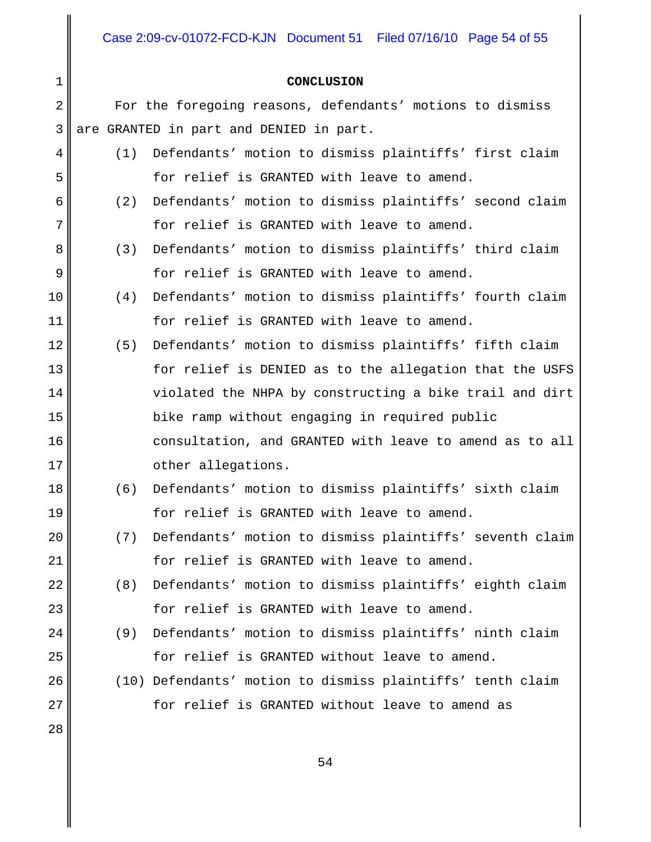Case 2:09-cv-01072-FCD-KJN Document 51 Filed 07/16/10 Page 54 of 55

#### **CONCLUSION**

For the foregoing reasons, defendants' motions to dismiss are GRANTED in part and DENIED in part.

- (1) Defendants' motion to dismiss plaintiffs' first claim for relief is GRANTED with leave to amend.
- (2) Defendants' motion to dismiss plaintiffs' second claim for relief is GRANTED with leave to amend.
	- (3) Defendants' motion to dismiss plaintiffs' third claim for relief is GRANTED with leave to amend.
	- (4) Defendants' motion to dismiss plaintiffs' fourth claim for relief is GRANTED with leave to amend.
- (5) Defendants' motion to dismiss plaintiffs' fifth claim for relief is DENIED as to the allegation that the USFS violated the NHPA by constructing a bike trail and dirt bike ramp without engaging in required public consultation, and GRANTED with leave to amend as to all other allegations.
	- (6) Defendants' motion to dismiss plaintiffs' sixth claim for relief is GRANTED with leave to amend.
	- (7) Defendants' motion to dismiss plaintiffs' seventh claim for relief is GRANTED with leave to amend.
	- (8) Defendants' motion to dismiss plaintiffs' eighth claim for relief is GRANTED with leave to amend.
	- (9) Defendants' motion to dismiss plaintiffs' ninth claim for relief is GRANTED without leave to amend.
	- (10) Defendants' motion to dismiss plaintiffs' tenth claim for relief is GRANTED without leave to amend as

27 28

1

2

3

4

5

6

7

8

9

10

11

12

13

14

15

16

17

18

19

20

21

22

23

24

25